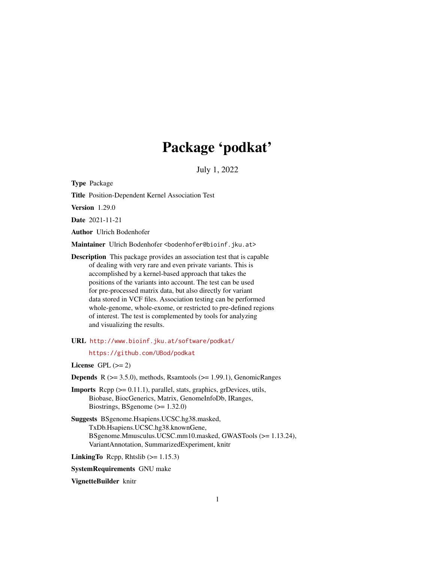# Package 'podkat'

July 1, 2022

<span id="page-0-0"></span>Type Package

Title Position-Dependent Kernel Association Test

Version 1.29.0

Date 2021-11-21

Author Ulrich Bodenhofer

Maintainer Ulrich Bodenhofer <br/>bodenhofer@bioinf.jku.at>

Description This package provides an association test that is capable of dealing with very rare and even private variants. This is accomplished by a kernel-based approach that takes the positions of the variants into account. The test can be used for pre-processed matrix data, but also directly for variant data stored in VCF files. Association testing can be performed whole-genome, whole-exome, or restricted to pre-defined regions of interest. The test is complemented by tools for analyzing and visualizing the results.

URL <http://www.bioinf.jku.at/software/podkat/>

<https://github.com/UBod/podkat>

License GPL  $(>= 2)$ 

**Depends** R  $(>= 3.5.0)$ , methods, Rsamtools  $(>= 1.99.1)$ , GenomicRanges

Imports Rcpp (>= 0.11.1), parallel, stats, graphics, grDevices, utils, Biobase, BiocGenerics, Matrix, GenomeInfoDb, IRanges, Biostrings, BSgenome (>= 1.32.0)

Suggests BSgenome.Hsapiens.UCSC.hg38.masked, TxDb.Hsapiens.UCSC.hg38.knownGene, BSgenome.Mmusculus.UCSC.mm10.masked, GWASTools (>= 1.13.24), VariantAnnotation, SummarizedExperiment, knitr

LinkingTo Rcpp, Rhtslib  $(>= 1.15.3)$ 

SystemRequirements GNU make

VignetteBuilder knitr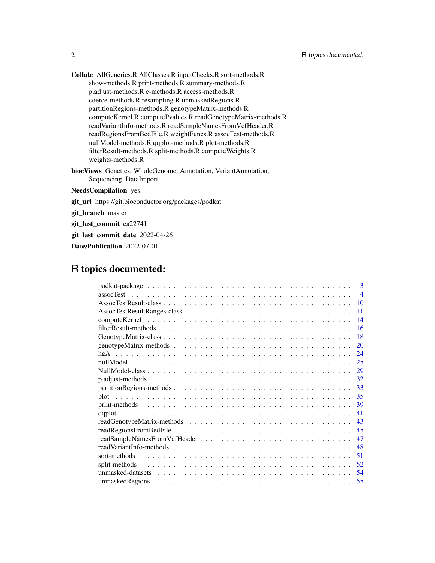Collate AllGenerics.R AllClasses.R inputChecks.R sort-methods.R show-methods.R print-methods.R summary-methods.R p.adjust-methods.R c-methods.R access-methods.R coerce-methods.R resampling.R unmaskedRegions.R partitionRegions-methods.R genotypeMatrix-methods.R computeKernel.R computePvalues.R readGenotypeMatrix-methods.R readVariantInfo-methods.R readSampleNamesFromVcfHeader.R readRegionsFromBedFile.R weightFuncs.R assocTest-methods.R nullModel-methods.R qqplot-methods.R plot-methods.R filterResult-methods.R split-methods.R computeWeights.R weights-methods.R

biocViews Genetics, WholeGenome, Annotation, VariantAnnotation, Sequencing, DataImport

# NeedsCompilation yes

git\_url https://git.bioconductor.org/packages/podkat

git\_branch master

git\_last\_commit ea22741

git\_last\_commit\_date 2022-04-26

Date/Publication 2022-07-01

# R topics documented:

| $\mathbf{3}$                       |                |
|------------------------------------|----------------|
|                                    | $\overline{4}$ |
| 10                                 |                |
| 11                                 |                |
| -14                                |                |
| -16                                |                |
| -18                                |                |
| 20                                 |                |
| 24                                 |                |
| 25                                 |                |
| 29                                 |                |
| 32                                 |                |
| 33                                 |                |
|                                    |                |
| -39                                |                |
| -41                                |                |
| 43                                 |                |
|                                    |                |
| readSampleNamesFromVcfHeader<br>47 |                |
| 48                                 |                |
| 51                                 |                |
| .52                                |                |
|                                    |                |
|                                    |                |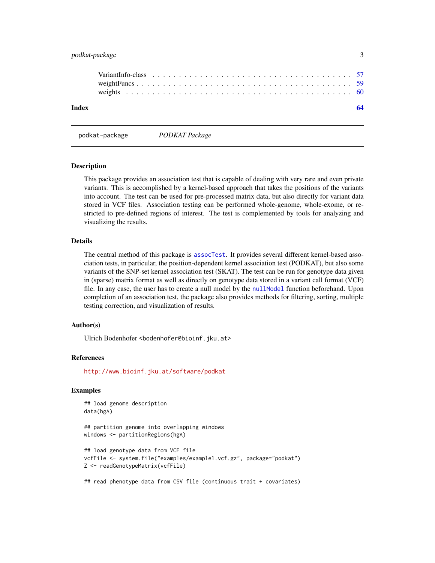# <span id="page-2-0"></span>podkat-package 3

| Index |  |  |  |  |  |  |  |  |  |  |  |  |  |  |  |  |  |
|-------|--|--|--|--|--|--|--|--|--|--|--|--|--|--|--|--|--|
|       |  |  |  |  |  |  |  |  |  |  |  |  |  |  |  |  |  |
|       |  |  |  |  |  |  |  |  |  |  |  |  |  |  |  |  |  |
|       |  |  |  |  |  |  |  |  |  |  |  |  |  |  |  |  |  |

podkat-package *PODKAT Package*

#### **Description**

This package provides an association test that is capable of dealing with very rare and even private variants. This is accomplished by a kernel-based approach that takes the positions of the variants into account. The test can be used for pre-processed matrix data, but also directly for variant data stored in VCF files. Association testing can be performed whole-genome, whole-exome, or restricted to pre-defined regions of interest. The test is complemented by tools for analyzing and visualizing the results.

# Details

The central method of this package is [assocTest](#page-3-1). It provides several different kernel-based association tests, in particular, the position-dependent kernel association test (PODKAT), but also some variants of the SNP-set kernel association test (SKAT). The test can be run for genotype data given in (sparse) matrix format as well as directly on genotype data stored in a variant call format (VCF) file. In any case, the user has to create a null model by the [nullModel](#page-24-1) function beforehand. Upon completion of an association test, the package also provides methods for filtering, sorting, multiple testing correction, and visualization of results.

# Author(s)

Ulrich Bodenhofer <bodenhofer@bioinf.jku.at>

# References

<http://www.bioinf.jku.at/software/podkat>

# Examples

## load genome description data(hgA)

## partition genome into overlapping windows windows <- partitionRegions(hgA)

```
## load genotype data from VCF file
vcfFile <- system.file("examples/example1.vcf.gz", package="podkat")
Z <- readGenotypeMatrix(vcfFile)
```
## read phenotype data from CSV file (continuous trait + covariates)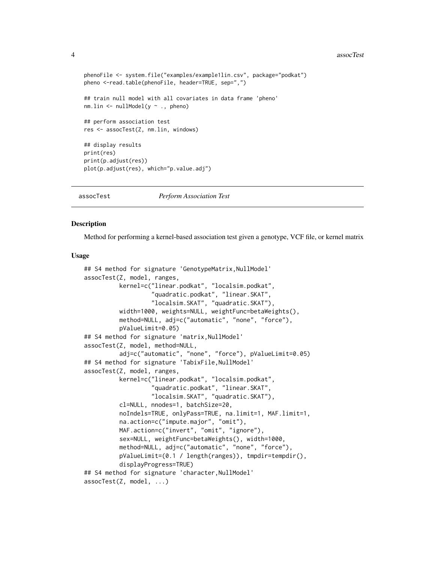#### 4 assocTest and  $\frac{1}{2}$  assocTest and  $\frac{1}{2}$  assocTest and  $\frac{1}{2}$  assocTest and  $\frac{1}{2}$  assocTest and  $\frac{1}{2}$  assocTest and  $\frac{1}{2}$  assocTest and  $\frac{1}{2}$  assocTest and  $\frac{1}{2}$  assocTest and  $\frac{1}{2}$  asso

```
phenoFile <- system.file("examples/example1lin.csv", package="podkat")
pheno <-read.table(phenoFile, header=TRUE, sep=",")
## train null model with all covariates in data frame 'pheno'
nm.lin <- nullModel(y ~ ., pheno)
## perform association test
res <- assocTest(Z, nm.lin, windows)
## display results
print(res)
print(p.adjust(res))
plot(p.adjust(res), which="p.value.adj")
```
<span id="page-3-1"></span>assocTest *Perform Association Test*

# **Description**

Method for performing a kernel-based association test given a genotype, VCF file, or kernel matrix

# Usage

```
## S4 method for signature 'GenotypeMatrix, NullModel'
assocTest(Z, model, ranges,
          kernel=c("linear.podkat", "localsim.podkat",
                   "quadratic.podkat", "linear.SKAT",
                   "localsim.SKAT", "quadratic.SKAT"),
          width=1000, weights=NULL, weightFunc=betaWeights(),
          method=NULL, adj=c("automatic", "none", "force"),
          pValueLimit=0.05)
## S4 method for signature 'matrix, NullModel'
assocTest(Z, model, method=NULL,
          adj=c("automatic", "none", "force"), pValueLimit=0.05)
## S4 method for signature 'TabixFile, NullModel'
assocTest(Z, model, ranges,
          kernel=c("linear.podkat", "localsim.podkat",
                   "quadratic.podkat", "linear.SKAT",
                   "localsim.SKAT", "quadratic.SKAT"),
          cl=NULL, nnodes=1, batchSize=20,
          noIndels=TRUE, onlyPass=TRUE, na.limit=1, MAF.limit=1,
          na.action=c("impute.major", "omit"),
          MAF.action=c("invert", "omit", "ignore"),
          sex=NULL, weightFunc=betaWeights(), width=1000,
          method=NULL, adj=c("automatic", "none", "force"),
          pValueLimit=(0.1 / length(ranges)), tmpdir=tempdir(),
          displayProgress=TRUE)
## S4 method for signature 'character, NullModel'
assocTest(Z, model, ...)
```
<span id="page-3-0"></span>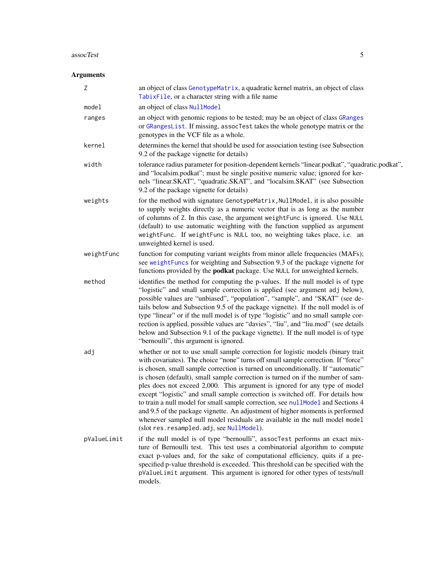#### <span id="page-4-0"></span>assocTest 5

# Arguments

| Ζ           | an object of class GenotypeMatrix, a quadratic kernel matrix, an object of class<br>TabixFile, or a character string with a file name                                                                                                                                                                                                                                                                                                                                                                                                                                                                                                                                                                                                                                                                       |
|-------------|-------------------------------------------------------------------------------------------------------------------------------------------------------------------------------------------------------------------------------------------------------------------------------------------------------------------------------------------------------------------------------------------------------------------------------------------------------------------------------------------------------------------------------------------------------------------------------------------------------------------------------------------------------------------------------------------------------------------------------------------------------------------------------------------------------------|
| model       | an object of class NullModel                                                                                                                                                                                                                                                                                                                                                                                                                                                                                                                                                                                                                                                                                                                                                                                |
| ranges      | an object with genomic regions to be tested; may be an object of class GRanges<br>or GRangesList. If missing, assocTest takes the whole genotype matrix or the<br>genotypes in the VCF file as a whole.                                                                                                                                                                                                                                                                                                                                                                                                                                                                                                                                                                                                     |
| kernel      | determines the kernel that should be used for association testing (see Subsection<br>9.2 of the package vignette for details)                                                                                                                                                                                                                                                                                                                                                                                                                                                                                                                                                                                                                                                                               |
| width       | tolerance radius parameter for position-dependent kernels "linear.podkat", "quadratic.podkat",<br>and "localsim.podkat"; must be single positive numeric value; ignored for ker-<br>nels "linear.SKAT", "quadratic.SKAT", and "localsim.SKAT" (see Subsection<br>9.2 of the package vignette for details)                                                                                                                                                                                                                                                                                                                                                                                                                                                                                                   |
| weights     | for the method with signature GenotypeMatrix, NullModel, it is also possible<br>to supply weights directly as a numeric vector that is as long as the number<br>of columns of Z. In this case, the argument weightFunc is ignored. Use NULL<br>(default) to use automatic weighting with the function supplied as argument<br>weightFunc. If weightFunc is NULL too, no weighting takes place, i.e. an<br>unweighted kernel is used.                                                                                                                                                                                                                                                                                                                                                                        |
| weightFunc  | function for computing variant weights from minor allele frequencies (MAFs);<br>see weightFuncs for weighting and Subsection 9.3 of the package vignette for<br>functions provided by the <b>podkat</b> package. Use NULL for unweighted kernels.                                                                                                                                                                                                                                                                                                                                                                                                                                                                                                                                                           |
| method      | identifies the method for computing the p-values. If the null model is of type<br>"logistic" and small sample correction is applied (see argument adj below),<br>possible values are "unbiased", "population", "sample", and "SKAT" (see de-<br>tails below and Subsection 9.5 of the package vignette). If the null model is of<br>type "linear" or if the null model is of type "logistic" and no small sample cor-<br>rection is applied, possible values are "davies", "liu", and "liu.mod" (see details<br>below and Subsection 9.1 of the package vignette). If the null model is of type<br>"bernoulli", this argument is ignored.                                                                                                                                                                   |
| adj         | whether or not to use small sample correction for logistic models (binary trait<br>with covariates). The choice "none" turns off small sample correction. If "force"<br>is chosen, small sample correction is turned on unconditionally. If "automatic"<br>is chosen (default), small sample correction is turned on if the number of sam-<br>ples does not exceed 2,000. This argument is ignored for any type of model<br>except "logistic" and small sample correction is switched off. For details how<br>to train a null model for small sample correction, see nullModel and Sections 4<br>and 9.5 of the package vignette. An adjustment of higher moments is performed<br>whenever sampled null model residuals are available in the null model model<br>(slot res. resampled. adj, see NullModel). |
| pValueLimit | if the null model is of type "bernoulli", assocTest performs an exact mix-<br>ture of Bernoulli test. This test uses a combinatorial algorithm to compute<br>exact p-values and, for the sake of computational efficiency, quits if a pre-<br>specified p-value threshold is exceeded. This threshold can be specified with the<br>pValueLimit argument. This argument is ignored for other types of tests/null<br>models.                                                                                                                                                                                                                                                                                                                                                                                  |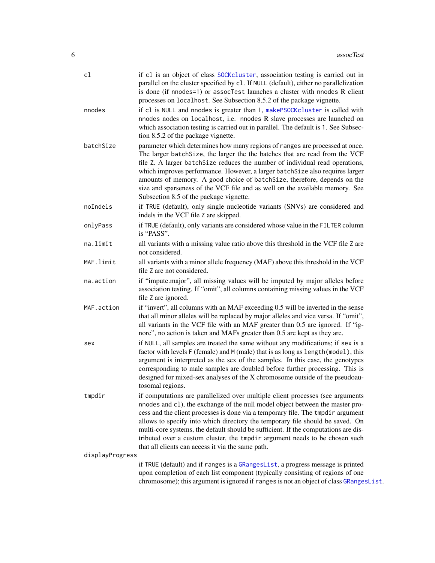<span id="page-5-0"></span>

| cl                        | if c1 is an object of class SOCKcluster, association testing is carried out in<br>parallel on the cluster specified by c1. If NULL (default), either no parallelization<br>is done (if nnodes=1) or assocTest launches a cluster with nnodes R client<br>processes on localhost. See Subsection 8.5.2 of the package vignette.                                                                                                                                                                                                                                |
|---------------------------|---------------------------------------------------------------------------------------------------------------------------------------------------------------------------------------------------------------------------------------------------------------------------------------------------------------------------------------------------------------------------------------------------------------------------------------------------------------------------------------------------------------------------------------------------------------|
| nnodes                    | if cl is NULL and nnodes is greater than 1, makePSOCKcluster is called with<br>nnodes nodes on localhost, i.e. nnodes R slave processes are launched on<br>which association testing is carried out in parallel. The default is 1. See Subsec-<br>tion 8.5.2 of the package vignette.                                                                                                                                                                                                                                                                         |
| batchSize                 | parameter which determines how many regions of ranges are processed at once.<br>The larger batch Size, the larger the the batches that are read from the VCF<br>file Z. A larger batchSize reduces the number of individual read operations,<br>which improves performance. However, a larger batchSize also requires larger<br>amounts of memory. A good choice of batchSize, therefore, depends on the<br>size and sparseness of the VCF file and as well on the available memory. See<br>Subsection 8.5 of the package vignette.                           |
| noIndels                  | if TRUE (default), only single nucleotide variants (SNVs) are considered and<br>indels in the VCF file Z are skipped.                                                                                                                                                                                                                                                                                                                                                                                                                                         |
| onlyPass                  | if TRUE (default), only variants are considered whose value in the FILTER column<br>is "PASS".                                                                                                                                                                                                                                                                                                                                                                                                                                                                |
| na.limit                  | all variants with a missing value ratio above this threshold in the VCF file Z are<br>not considered.                                                                                                                                                                                                                                                                                                                                                                                                                                                         |
| MAF.limit                 | all variants with a minor allele frequency (MAF) above this threshold in the VCF<br>file Z are not considered.                                                                                                                                                                                                                                                                                                                                                                                                                                                |
| na.action                 | if "impute.major", all missing values will be imputed by major alleles before<br>association testing. If "omit", all columns containing missing values in the VCF<br>file Z are ignored.                                                                                                                                                                                                                                                                                                                                                                      |
| MAF.action                | if "invert", all columns with an MAF exceeding 0.5 will be inverted in the sense<br>that all minor alleles will be replaced by major alleles and vice versa. If "omit",<br>all variants in the VCF file with an MAF greater than 0.5 are ignored. If "ig-<br>nore", no action is taken and MAFs greater than 0.5 are kept as they are.                                                                                                                                                                                                                        |
| sex                       | if NULL, all samples are treated the same without any modifications; if sex is a<br>factor with levels F (female) and M (male) that is as long as length (model), this<br>argument is interpreted as the sex of the samples. In this case, the genotypes<br>corresponding to male samples are doubled before further processing. This is<br>designed for mixed-sex analyses of the X chromosome outside of the pseudoau-<br>tosomal regions.                                                                                                                  |
| tmpdir<br>displayProgress | if computations are parallelized over multiple client processes (see arguments<br>nnodes and c1), the exchange of the null model object between the master pro-<br>cess and the client processes is done via a temporary file. The tmpdir argument<br>allows to specify into which directory the temporary file should be saved. On<br>multi-core systems, the default should be sufficient. If the computations are dis-<br>tributed over a custom cluster, the tmpdir argument needs to be chosen such<br>that all clients can access it via the same path. |
|                           | if TRUE (default) and if ranges is a GRangesList, a progress message is printed<br>upon completion of each list component (typically consisting of regions of one<br>chromosome); this argument is ignored if ranges is not an object of class GRangesList.                                                                                                                                                                                                                                                                                                   |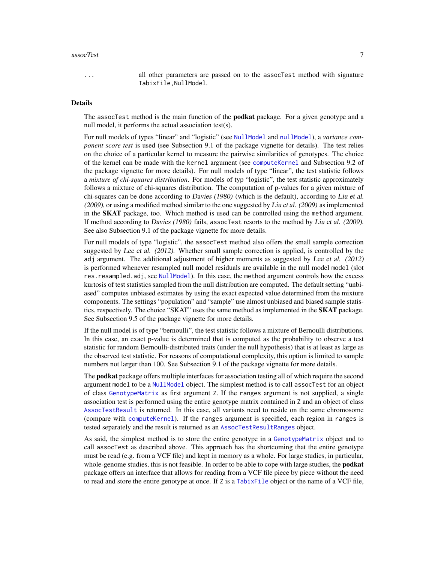#### <span id="page-6-0"></span>assocTest 7

... all other parameters are passed on to the assocTest method with signature TabixFile,NullModel.

#### Details

The assocTest method is the main function of the **podkat** package. For a given genotype and a null model, it performs the actual association test(s).

For null models of types "linear" and "logistic" (see [NullModel](#page-28-1) and [nullModel](#page-24-1)), a *variance component score test* is used (see Subsection 9.1 of the package vignette for details). The test relies on the choice of a particular kernel to measure the pairwise similarities of genotypes. The choice of the kernel can be made with the kernel argument (see [computeKernel](#page-13-1) and Subsection 9.2 of the package vignette for more details). For null models of type "linear", the test statistic follows a *mixture of chi-squares distribution*. For models of typ "logistic", the test statistic approximately follows a mixture of chi-squares distribution. The computation of p-values for a given mixture of chi-squares can be done according to Davies  $(1980)$  (which is the default), according to Liu et al.  $(2009)$ , or using a modified method similar to the one suggested by Liu et al.  $(2009)$  as implemented in the **SKAT** package, too. Which method is used can be controlled using the method argument. If method according to Davies (1980) fails, assocTest resorts to the method by Liu et al. (2009). See also Subsection 9.1 of the package vignette for more details.

For null models of type "logistic", the assocTest method also offers the small sample correction suggested by Lee et al. (2012). Whether small sample correction is applied, is controlled by the adj argument. The additional adjustment of higher moments as suggested by Lee et al. (2012) is performed whenever resampled null model residuals are available in the null model model (slot res.resampled.adj, see [NullModel](#page-28-1)). In this case, the method argument controls how the excess kurtosis of test statistics sampled from the null distribution are computed. The default setting "unbiased" computes unbiased estimates by using the exact expected value determined from the mixture components. The settings "population" and "sample" use almost unbiased and biased sample statistics, respectively. The choice "SKAT" uses the same method as implemented in the **SKAT** package. See Subsection 9.5 of the package vignette for more details.

If the null model is of type "bernoulli", the test statistic follows a mixture of Bernoulli distributions. In this case, an exact p-value is determined that is computed as the probability to observe a test statistic for random Bernoulli-distributed traits (under the null hypothesis) that is at least as large as the observed test statistic. For reasons of computational complexity, this option is limited to sample numbers not larger than 100. See Subsection 9.1 of the package vignette for more details.

The **podkat** package offers multiple interfaces for association testing all of which require the second argument model to be a [NullModel](#page-28-1) object. The simplest method is to call assocTest for an object of class [GenotypeMatrix](#page-17-1) as first argument Z. If the ranges argument is not supplied, a single association test is performed using the entire genotype matrix contained in Z and an object of class [AssocTestResult](#page-9-1) is returned. In this case, all variants need to reside on the same chromosome (compare with [computeKernel](#page-13-1)). If the ranges argument is specified, each region in ranges is tested separately and the result is returned as an [AssocTestResultRanges](#page-10-1) object.

As said, the simplest method is to store the entire genotype in a [GenotypeMatrix](#page-17-1) object and to call assocTest as described above. This approach has the shortcoming that the entire genotype must be read (e.g. from a VCF file) and kept in memory as a whole. For large studies, in particular, whole-genome studies, this is not feasible. In order to be able to cope with large studies, the **podkat** package offers an interface that allows for reading from a VCF file piece by piece without the need to read and store the entire genotype at once. If Z is a [TabixFile](#page-0-0) object or the name of a VCF file,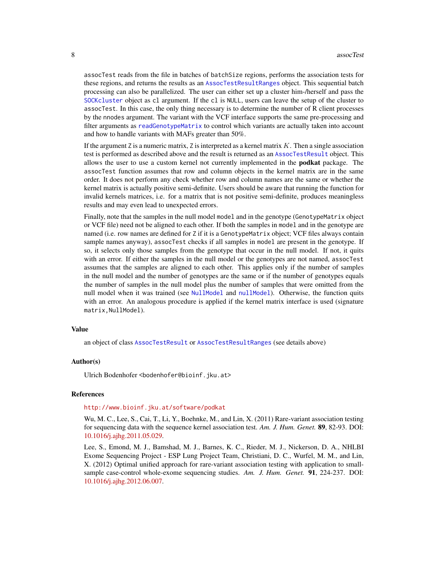<span id="page-7-0"></span>assocTest reads from the file in batches of batchSize regions, performs the association tests for these regions, and returns the results as an [AssocTestResultRanges](#page-10-1) object. This sequential batch processing can also be parallelized. The user can either set up a cluster him-/herself and pass the [SOCKcluster](#page-0-0) object as cl argument. If the cl is NULL, users can leave the setup of the cluster to assocTest. In this case, the only thing necessary is to determine the number of R client processes by the nnodes argument. The variant with the VCF interface supports the same pre-processing and filter arguments as [readGenotypeMatrix](#page-42-1) to control which variants are actually taken into account and how to handle variants with MAFs greater than 50%.

If the argument Z is a numeric matrix, Z is interpreted as a kernel matrix  $K$ . Then a single association test is performed as described above and the result is returned as an [AssocTestResult](#page-9-1) object. This allows the user to use a custom kernel not currently implemented in the **podkat** package. The assocTest function assumes that row and column objects in the kernel matrix are in the same order. It does not perform any check whether row and column names are the same or whether the kernel matrix is actually positive semi-definite. Users should be aware that running the function for invalid kernels matrices, i.e. for a matrix that is not positive semi-definite, produces meaningless results and may even lead to unexpected errors.

Finally, note that the samples in the null model model and in the genotype (GenotypeMatrix object or VCF file) need not be aligned to each other. If both the samples in model and in the genotype are named (i.e. row names are defined for Z if it is a GenotypeMatrix object; VCF files always contain sample names anyway), assocTest checks if all samples in model are present in the genotype. If so, it selects only those samples from the genotype that occur in the null model. If not, it quits with an error. If either the samples in the null model or the genotypes are not named, assocTest assumes that the samples are aligned to each other. This applies only if the number of samples in the null model and the number of genotypes are the same or if the number of genotypes equals the number of samples in the null model plus the number of samples that were omitted from the null model when it was trained (see [NullModel](#page-28-1) and [nullModel](#page-24-1)). Otherwise, the function quits with an error. An analogous procedure is applied if the kernel matrix interface is used (signature matrix,NullModel).

# Value

an object of class [AssocTestResult](#page-9-1) or [AssocTestResultRanges](#page-10-1) (see details above)

#### Author(s)

Ulrich Bodenhofer <bodenhofer@bioinf.jku.at>

# References

#### <http://www.bioinf.jku.at/software/podkat>

Wu, M. C., Lee, S., Cai, T., Li, Y., Boehnke, M., and Lin, X. (2011) Rare-variant association testing for sequencing data with the sequence kernel association test. *Am. J. Hum. Genet.* 89, 82-93. DOI: [10.1016/j.ajhg.2011.05.029.](http://dx.doi.org/10.1016/j.ajhg.2011.05.029)

Lee, S., Emond, M. J., Bamshad, M. J., Barnes, K. C., Rieder, M. J., Nickerson, D. A., NHLBI Exome Sequencing Project - ESP Lung Project Team, Christiani, D. C., Wurfel, M. M., and Lin, X. (2012) Optimal unified approach for rare-variant association testing with application to smallsample case-control whole-exome sequencing studies. *Am. J. Hum. Genet.* 91, 224-237. DOI: [10.1016/j.ajhg.2012.06.007.](http://dx.doi.org/10.1016/j.ajhg.2012.06.007)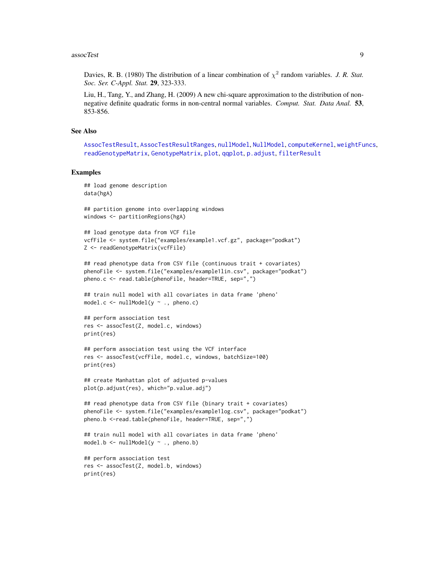#### <span id="page-8-0"></span>assocTest 9

Davies, R. B. (1980) The distribution of a linear combination of  $\chi^2$  random variables. *J. R. Stat. Soc. Ser. C-Appl. Stat.* 29, 323-333.

Liu, H., Tang, Y., and Zhang, H. (2009) A new chi-square approximation to the distribution of nonnegative definite quadratic forms in non-central normal variables. *Comput. Stat. Data Anal.* 53, 853-856.

#### See Also

```
AssocTestResult, AssocTestResultRanges, nullModel, NullModel, computeKernel, weightFuncs,
readGenotypeMatrix, GenotypeMatrix, plot, qqplot, p.adjust, filterResult
```
# Examples

```
## load genome description
data(hgA)
```
## partition genome into overlapping windows windows <- partitionRegions(hgA)

```
## load genotype data from VCF file
vcfFile <- system.file("examples/example1.vcf.gz", package="podkat")
Z <- readGenotypeMatrix(vcfFile)
```

```
## read phenotype data from CSV file (continuous trait + covariates)
phenoFile <- system.file("examples/example1lin.csv", package="podkat")
pheno.c <- read.table(phenoFile, header=TRUE, sep=",")
```

```
## train null model with all covariates in data frame 'pheno'
model.c \le nullModel(y \sim ., pheno.c)
```

```
## perform association test
res <- assocTest(Z, model.c, windows)
print(res)
```

```
## perform association test using the VCF interface
res <- assocTest(vcfFile, model.c, windows, batchSize=100)
print(res)
```

```
## create Manhattan plot of adjusted p-values
plot(p.adjust(res), which="p.value.adj")
```

```
## read phenotype data from CSV file (binary trait + covariates)
phenoFile <- system.file("examples/example1log.csv", package="podkat")
pheno.b <-read.table(phenoFile, header=TRUE, sep=",")
```

```
## train null model with all covariates in data frame 'pheno'
model.b \le nullModel(y \sim ., pheno.b)
```

```
## perform association test
res <- assocTest(Z, model.b, windows)
print(res)
```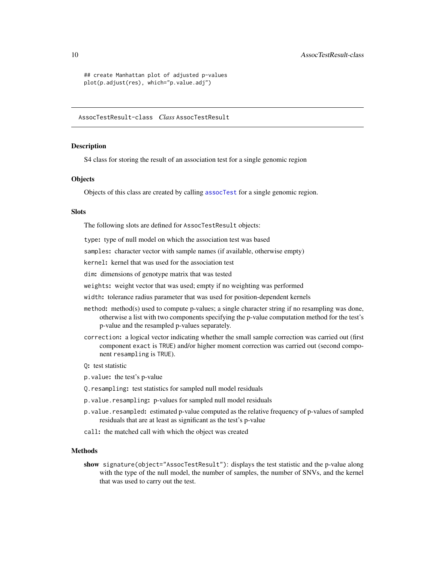```
## create Manhattan plot of adjusted p-values
plot(p.adjust(res), which="p.value.adj")
```
<span id="page-9-1"></span>AssocTestResult-class *Class* AssocTestResult

#### <span id="page-9-2"></span>**Description**

S4 class for storing the result of an association test for a single genomic region

# **Objects**

Objects of this class are created by calling [assocTest](#page-3-1) for a single genomic region.

#### Slots

The following slots are defined for AssocTestResult objects:

type: type of null model on which the association test was based

samples: character vector with sample names (if available, otherwise empty)

kernel: kernel that was used for the association test

dim: dimensions of genotype matrix that was tested

weights: weight vector that was used; empty if no weighting was performed

width: tolerance radius parameter that was used for position-dependent kernels

- method: method(s) used to compute p-values; a single character string if no resampling was done, otherwise a list with two components specifying the p-value computation method for the test's p-value and the resampled p-values separately.
- correction: a logical vector indicating whether the small sample correction was carried out (first component exact is TRUE) and/or higher moment correction was carried out (second component resampling is TRUE).
- Q: test statistic
- p.value: the test's p-value
- Q.resampling: test statistics for sampled null model residuals
- p.value.resampling: p-values for sampled null model residuals
- p.value.resampled: estimated p-value computed as the relative frequency of p-values of sampled residuals that are at least as significant as the test's p-value
- call: the matched call with which the object was created

# Methods

show signature(object="AssocTestResult"): displays the test statistic and the p-value along with the type of the null model, the number of samples, the number of SNVs, and the kernel that was used to carry out the test.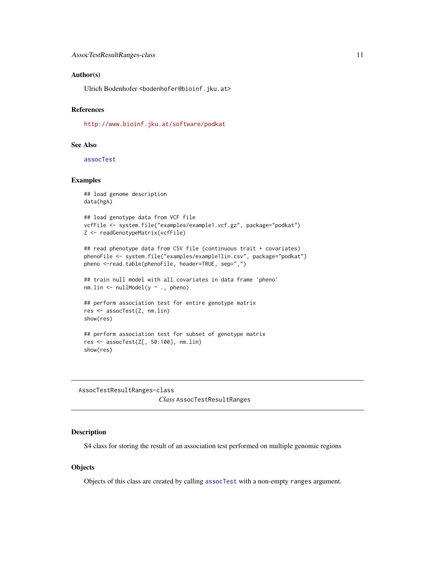# <span id="page-10-0"></span>Author(s)

Ulrich Bodenhofer <bodenhofer@bioinf.jku.at>

# References

<http://www.bioinf.jku.at/software/podkat>

# See Also

[assocTest](#page-3-1)

# Examples

```
## load genome description
data(hgA)
```

```
## load genotype data from VCF file
vcfFile <- system.file("examples/example1.vcf.gz", package="podkat")
Z <- readGenotypeMatrix(vcfFile)
```

```
## read phenotype data from CSV file (continuous trait + covariates)
phenoFile <- system.file("examples/example1lin.csv", package="podkat")
pheno <-read.table(phenoFile, header=TRUE, sep=",")
```

```
## train null model with all covariates in data frame 'pheno'
nm.lin <- nullModel(y ~ ., pheno)
```

```
## perform association test for entire genotype matrix
res <- assocTest(Z, nm.lin)
show(res)
```

```
## perform association test for subset of genotype matrix
res <- assocTest(Z[, 50:100], nm.lin)
show(res)
```
<span id="page-10-1"></span>AssocTestResultRanges-class *Class* AssocTestResultRanges

# <span id="page-10-2"></span>Description

S4 class for storing the result of an association test performed on multiple genomic regions

# **Objects**

Objects of this class are created by calling [assocTest](#page-3-1) with a non-empty ranges argument.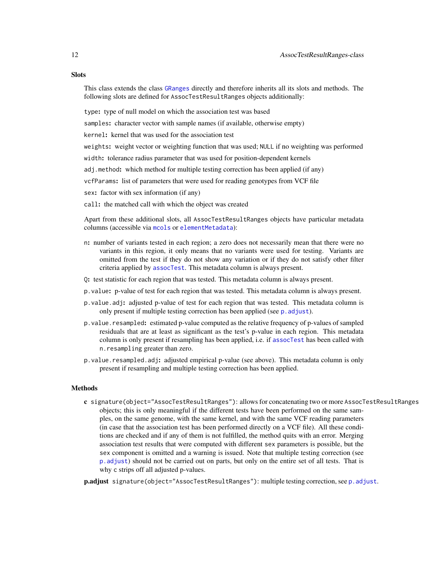<span id="page-11-0"></span>This class extends the class [GRanges](#page-0-0) directly and therefore inherits all its slots and methods. The following slots are defined for AssocTestResultRanges objects additionally:

type: type of null model on which the association test was based

samples: character vector with sample names (if available, otherwise empty)

kernel: kernel that was used for the association test

weights: weight vector or weighting function that was used; NULL if no weighting was performed

width: tolerance radius parameter that was used for position-dependent kernels

adj.method: which method for multiple testing correction has been applied (if any)

vcfParams: list of parameters that were used for reading genotypes from VCF file

sex: factor with sex information (if any)

call: the matched call with which the object was created

Apart from these additional slots, all AssocTestResultRanges objects have particular metadata columns (accessible via [mcols](#page-0-0) or [elementMetadata](#page-0-0)):

- n: number of variants tested in each region; a zero does not necessarily mean that there were no variants in this region, it only means that no variants were used for testing. Variants are omitted from the test if they do not show any variation or if they do not satisfy other filter criteria applied by [assocTest](#page-3-1). This metadata column is always present.
- Q: test statistic for each region that was tested. This metadata column is always present.
- p.value: p-value of test for each region that was tested. This metadata column is always present.
- p.value.adj: adjusted p-value of test for each region that was tested. This metadata column is only present if multiple testing correction has been applied (see p. adjust).
- p.value.resampled: estimated p-value computed as the relative frequency of p-values of sampled residuals that are at least as significant as the test's p-value in each region. This metadata column is only present if resampling has been applied, i.e. if [assocTest](#page-3-1) has been called with n.resampling greater than zero.
- p.value.resampled.adj: adjusted empirical p-value (see above). This metadata column is only present if resampling and multiple testing correction has been applied.

# Methods

c signature(object="AssocTestResultRanges"): allows for concatenating two or more AssocTestResultRanges objects; this is only meaningful if the different tests have been performed on the same samples, on the same genome, with the same kernel, and with the same VCF reading parameters (in case that the association test has been performed directly on a VCF file). All these conditions are checked and if any of them is not fulfilled, the method quits with an error. Merging association test results that were computed with different sex parameters is possible, but the sex component is omitted and a warning is issued. Note that multiple testing correction (see [p.adjust](#page-31-1)) should not be carried out on parts, but only on the entire set of all tests. That is why c strips off all adjusted p-values.

[p.adjust](#page-31-1) signature(object="AssocTestResultRanges"): multiple testing correction, see p. adjust.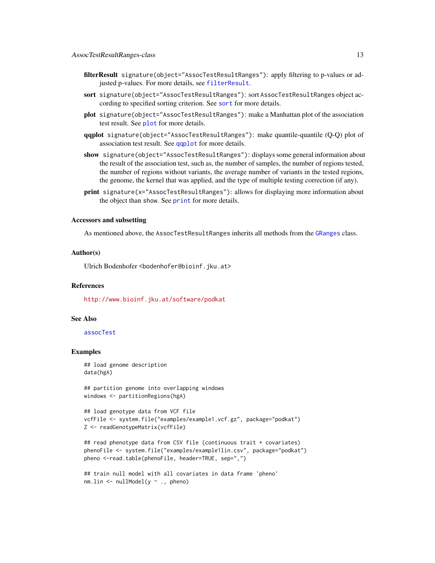- <span id="page-12-0"></span>filterResult signature(object="AssocTestResultRanges"): apply filtering to p-values or adjusted p-values. For more details, see [filterResult](#page-15-1).
- sort signature(object="AssocTestResultRanges"): sort AssocTestResultRanges object according to specified sorting criterion. See [sort](#page-50-1) for more details.
- plot signature(object="AssocTestResultRanges"): make a Manhattan plot of the association test result. See [plot](#page-34-1) for more details.
- qqplot signature(object="AssocTestResultRanges"): make quantile-quantile (Q-Q) plot of association test result. See [qqplot](#page-40-1) for more details.
- show signature(object="AssocTestResultRanges"): displays some general information about the result of the association test, such as, the number of samples, the number of regions tested, the number of regions without variants, the average number of variants in the tested regions, the genome, the kernel that was applied, and the type of multiple testing correction (if any).
- print signature(x="AssocTestResultRanges"): allows for displaying more information about the object than show. See [print](#page-38-1) for more details.

# Accessors and subsetting

As mentioned above, the AssocTestResultRanges inherits all methods from the [GRanges](#page-0-0) class.

# Author(s)

Ulrich Bodenhofer <bodenhofer@bioinf.jku.at>

# References

<http://www.bioinf.jku.at/software/podkat>

#### See Also

[assocTest](#page-3-1)

# Examples

```
## load genome description
data(hgA)
```
## partition genome into overlapping windows windows <- partitionRegions(hgA)

```
## load genotype data from VCF file
vcfFile <- system.file("examples/example1.vcf.gz", package="podkat")
Z <- readGenotypeMatrix(vcfFile)
```

```
## read phenotype data from CSV file (continuous trait + covariates)
phenoFile <- system.file("examples/example1lin.csv", package="podkat")
pheno <-read.table(phenoFile, header=TRUE, sep=",")
```

```
## train null model with all covariates in data frame 'pheno'
nm.lin <- nullModel(y ~ ., pheno)
```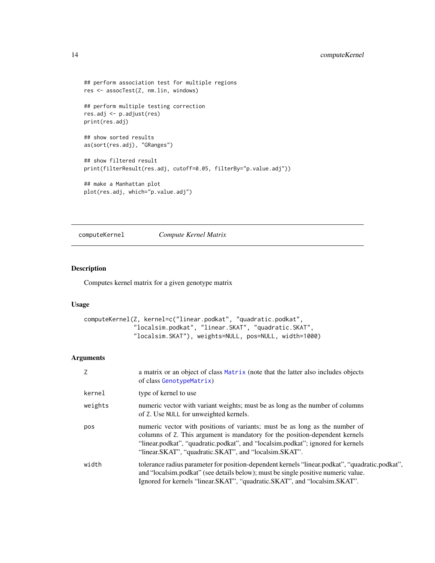```
## perform association test for multiple regions
res <- assocTest(Z, nm.lin, windows)
## perform multiple testing correction
res.adj <- p.adjust(res)
print(res.adj)
## show sorted results
as(sort(res.adj), "GRanges")
## show filtered result
print(filterResult(res.adj, cutoff=0.05, filterBy="p.value.adj"))
## make a Manhattan plot
plot(res.adj, which="p.value.adj")
```
<span id="page-13-1"></span>computeKernel *Compute Kernel Matrix*

# Description

Computes kernel matrix for a given genotype matrix

# Usage

```
computeKernel(Z, kernel=c("linear.podkat", "quadratic.podkat",
              "localsim.podkat", "linear.SKAT", "quadratic.SKAT",
              "localsim.SKAT"), weights=NULL, pos=NULL, width=1000)
```
# Arguments

| Z       | a matrix or an object of class Matrix (note that the latter also includes objects<br>of class GenotypeMatrix)                                                                                                                                                                                          |
|---------|--------------------------------------------------------------------------------------------------------------------------------------------------------------------------------------------------------------------------------------------------------------------------------------------------------|
| kernel  | type of kernel to use                                                                                                                                                                                                                                                                                  |
| weights | numeric vector with variant weights; must be as long as the number of columns<br>of Z. Use NULL for unweighted kernels.                                                                                                                                                                                |
| pos     | numeric vector with positions of variants; must be as long as the number of<br>columns of Z. This argument is mandatory for the position-dependent kernels<br>"linear.podkat", "quadratic.podkat", and "localsim.podkat"; ignored for kernels<br>"linear.SKAT", "quadratic.SKAT", and "localsim.SKAT". |
| width   | tolerance radius parameter for position-dependent kernels "linear.podkat", "quadratic.podkat",<br>and "localsim.podkat" (see details below); must be single positive numeric value.<br>Ignored for kernels "linear. SKAT", "quadratic. SKAT", and "localsim. SKAT".                                    |

<span id="page-13-0"></span>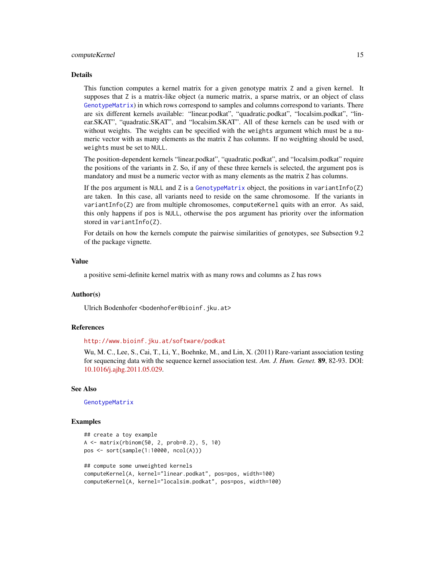#### <span id="page-14-0"></span>computeKernel 15

#### Details

This function computes a kernel matrix for a given genotype matrix Z and a given kernel. It supposes that Z is a matrix-like object (a numeric matrix, a sparse matrix, or an object of class [GenotypeMatrix](#page-17-1)) in which rows correspond to samples and columns correspond to variants. There are six different kernels available: "linear.podkat", "quadratic.podkat", "localsim.podkat", "linear.SKAT", "quadratic.SKAT", and "localsim.SKAT". All of these kernels can be used with or without weights. The weights can be specified with the weights argument which must be a numeric vector with as many elements as the matrix Z has columns. If no weighting should be used, weights must be set to NULL.

The position-dependent kernels "linear.podkat", "quadratic.podkat", and "localsim.podkat" require the positions of the variants in Z. So, if any of these three kernels is selected, the argument pos is mandatory and must be a numeric vector with as many elements as the matrix Z has columns.

If the pos argument is NULL and Z is a [GenotypeMatrix](#page-17-1) object, the positions in variantInfo(Z) are taken. In this case, all variants need to reside on the same chromosome. If the variants in variantInfo(Z) are from multiple chromosomes, computeKernel quits with an error. As said, this only happens if pos is NULL, otherwise the pos argument has priority over the information stored in variantInfo(Z).

For details on how the kernels compute the pairwise similarities of genotypes, see Subsection 9.2 of the package vignette.

# Value

a positive semi-definite kernel matrix with as many rows and columns as Z has rows

#### Author(s)

Ulrich Bodenhofer <bodenhofer@bioinf.jku.at>

# References

<http://www.bioinf.jku.at/software/podkat>

Wu, M. C., Lee, S., Cai, T., Li, Y., Boehnke, M., and Lin, X. (2011) Rare-variant association testing for sequencing data with the sequence kernel association test. *Am. J. Hum. Genet.* 89, 82-93. DOI: [10.1016/j.ajhg.2011.05.029.](http://dx.doi.org/10.1016/j.ajhg.2011.05.029)

#### See Also

[GenotypeMatrix](#page-17-1)

# Examples

```
## create a toy example
A <- matrix(rbinom(50, 2, prob=0.2), 5, 10)
pos <- sort(sample(1:10000, ncol(A)))
## compute some unweighted kernels
computeKernel(A, kernel="linear.podkat", pos=pos, width=100)
computeKernel(A, kernel="localsim.podkat", pos=pos, width=100)
```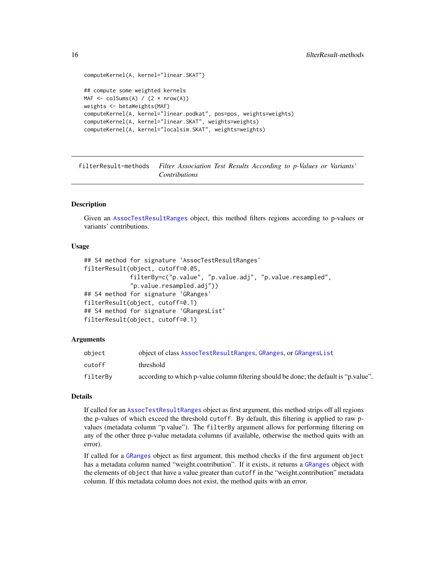```
computeKernel(A, kernel="linear.SKAT")
## compute some weighted kernels
MAF \leq colSums(A) / (2 \star nrow(A))
weights <- betaWeights(MAF)
computeKernel(A, kernel="linear.podkat", pos=pos, weights=weights)
computeKernel(A, kernel="linear.SKAT", weights=weights)
computeKernel(A, kernel="localsim.SKAT", weights=weights)
```
filterResult-methods *Filter Association Test Results According to p-Values or Variants' Contributions*

# <span id="page-15-1"></span>Description

Given an [AssocTestResultRanges](#page-10-1) object, this method filters regions according to p-values or variants' contributions.

# Usage

```
## S4 method for signature 'AssocTestResultRanges'
filterResult(object, cutoff=0.05,
             filterBy=c("p.value", "p.value.adj", "p.value.resampled",
             "p.value.resampled.adj"))
## S4 method for signature 'GRanges'
filterResult(object, cutoff=0.1)
## S4 method for signature 'GRangesList'
filterResult(object, cutoff=0.1)
```
# Arguments

| object   | object of class AssocTestResultRanges, GRanges, or GRangesList                        |
|----------|---------------------------------------------------------------------------------------|
| cutoff   | threshold                                                                             |
| filterBy | according to which p-value column filtering should be done; the default is "p.value". |

# Details

If called for an [AssocTestResultRanges](#page-10-1) object as first argument, this method strips off all regions the p-values of which exceed the threshold cutoff. By default, this filtering is applied to raw pvalues (metadata column "p.value"). The filterBy argument allows for performing filtering on any of the other three p-value metadata columns (if available, otherwise the method quits with an error).

If called for a [GRanges](#page-0-0) object as first argument, this method checks if the first argument object has a metadata column named "weight.contribution". If it exists, it returns a [GRanges](#page-0-0) object with the elements of object that have a value greater than cutoff in the "weight.contribution" metadata column. If this metadata column does not exist, the method quits with an error.

<span id="page-15-0"></span>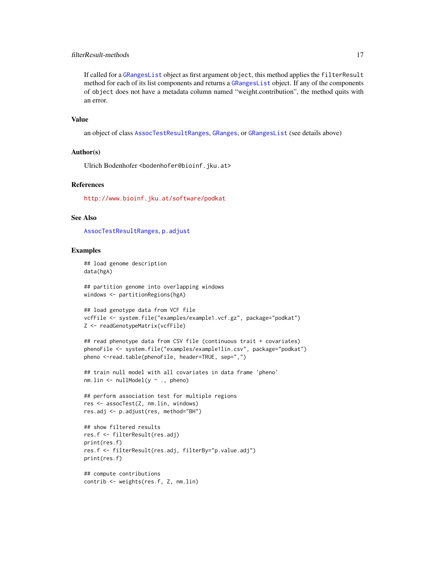# <span id="page-16-0"></span>filterResult-methods 17

If called for a [GRangesList](#page-0-0) object as first argument object, this method applies the filterResult method for each of its list components and returns a [GRangesList](#page-0-0) object. If any of the components of object does not have a metadata column named "weight.contribution", the method quits with an error.

# Value

an object of class [AssocTestResultRanges](#page-10-1), [GRanges](#page-0-0), or [GRangesList](#page-0-0) (see details above)

# Author(s)

Ulrich Bodenhofer <br/>bodenhofer@bioinf.jku.at>

# References

<http://www.bioinf.jku.at/software/podkat>

# See Also

[AssocTestResultRanges](#page-10-1), [p.adjust](#page-31-1)

# Examples

## load genome description data(hgA)

## partition genome into overlapping windows windows <- partitionRegions(hgA)

```
## load genotype data from VCF file
vcfFile <- system.file("examples/example1.vcf.gz", package="podkat")
Z <- readGenotypeMatrix(vcfFile)
```

```
## read phenotype data from CSV file (continuous trait + covariates)
phenoFile <- system.file("examples/example1lin.csv", package="podkat")
pheno <-read.table(phenoFile, header=TRUE, sep=",")
```

```
## train null model with all covariates in data frame 'pheno'
nm.lin <- nullModel(y ~ ., pheno)
```

```
## perform association test for multiple regions
res <- assocTest(Z, nm.lin, windows)
res.adj <- p.adjust(res, method="BH")
```

```
## show filtered results
res.f <- filterResult(res.adj)
print(res.f)
res.f <- filterResult(res.adj, filterBy="p.value.adj")
print(res.f)
```

```
## compute contributions
contrib <- weights(res.f, Z, nm.lin)
```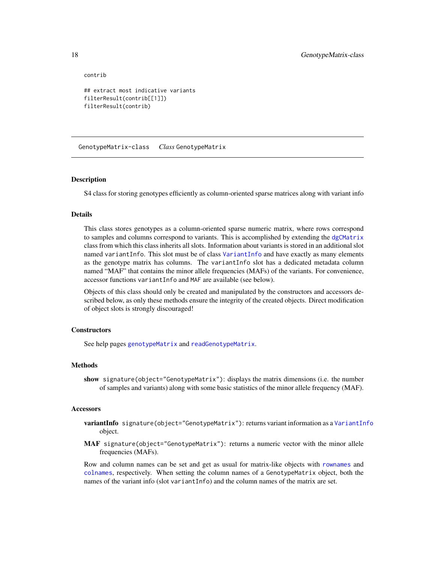contrib

```
## extract most indicative variants
filterResult(contrib[[1]])
filterResult(contrib)
```
<span id="page-17-1"></span>GenotypeMatrix-class *Class* GenotypeMatrix

#### Description

S4 class for storing genotypes efficiently as column-oriented sparse matrices along with variant info

# **Details**

This class stores genotypes as a column-oriented sparse numeric matrix, where rows correspond to samples and columns correspond to variants. This is accomplished by extending the [dgCMatrix](#page-0-0) class from which this class inherits all slots. Information about variants is stored in an additional slot named variantInfo. This slot must be of class [VariantInfo](#page-56-1) and have exactly as many elements as the genotype matrix has columns. The variantInfo slot has a dedicated metadata column named "MAF" that contains the minor allele frequencies (MAFs) of the variants. For convenience, accessor functions variantInfo and MAF are available (see below).

Objects of this class should only be created and manipulated by the constructors and accessors described below, as only these methods ensure the integrity of the created objects. Direct modification of object slots is strongly discouraged!

# **Constructors**

See help pages [genotypeMatrix](#page-19-1) and [readGenotypeMatrix](#page-42-1).

# Methods

show signature(object="GenotypeMatrix"): displays the matrix dimensions (i.e. the number of samples and variants) along with some basic statistics of the minor allele frequency (MAF).

#### Accessors

- variantInfo signature(object="GenotypeMatrix"): returns variant information as a [VariantInfo](#page-56-1) object.
- MAF signature(object="GenotypeMatrix"): returns a numeric vector with the minor allele frequencies (MAFs).

Row and column names can be set and get as usual for matrix-like objects with [rownames](#page-0-0) and [colnames](#page-0-0), respectively. When setting the column names of a GenotypeMatrix object, both the names of the variant info (slot variantInfo) and the column names of the matrix are set.

<span id="page-17-0"></span>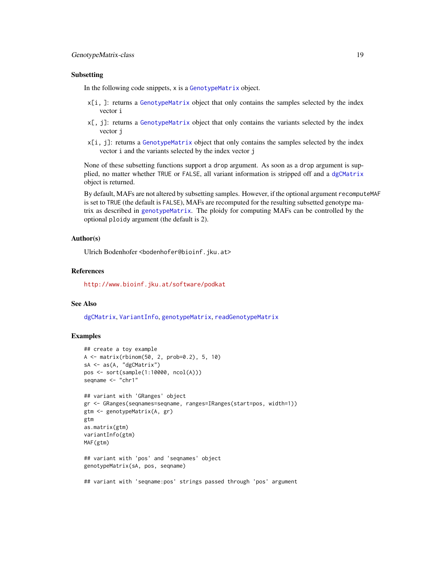# <span id="page-18-0"></span>Subsetting

In the following code snippets, x is a [GenotypeMatrix](#page-17-1) object.

- $x[i]$ . The statement a [GenotypeMatrix](#page-17-1) object that only contains the samples selected by the index vector i
- x[, j]: returns a [GenotypeMatrix](#page-17-1) object that only contains the variants selected by the index vector j
- x[i, j]: returns a [GenotypeMatrix](#page-17-1) object that only contains the samples selected by the index vector i and the variants selected by the index vector j

None of these subsetting functions support a drop argument. As soon as a drop argument is supplied, no matter whether TRUE or FALSE, all variant information is stripped off and a [dgCMatrix](#page-0-0) object is returned.

By default, MAFs are not altered by subsetting samples. However, if the optional argument recomputeMAF is set to TRUE (the default is FALSE), MAFs are recomputed for the resulting subsetted genotype matrix as described in [genotypeMatrix](#page-19-1). The ploidy for computing MAFs can be controlled by the optional ploidy argument (the default is 2).

# Author(s)

Ulrich Bodenhofer <br/>bodenhofer@bioinf.jku.at>

#### References

<http://www.bioinf.jku.at/software/podkat>

# See Also

[dgCMatrix](#page-0-0), [VariantInfo](#page-56-1), [genotypeMatrix](#page-19-1), [readGenotypeMatrix](#page-42-1)

# Examples

```
## create a toy example
A <- matrix(rbinom(50, 2, prob=0.2), 5, 10)
sA <- as(A, "dgCMatrix")
pos <- sort(sample(1:10000, ncol(A)))
seqname <- "chr1"
## variant with 'GRanges' object
gr <- GRanges(seqnames=seqname, ranges=IRanges(start=pos, width=1))
gtm <- genotypeMatrix(A, gr)
gtm
as.matrix(gtm)
variantInfo(gtm)
MAF(gtm)
## variant with 'pos' and 'seqnames' object
genotypeMatrix(sA, pos, seqname)
## variant with 'seqname:pos' strings passed through 'pos' argument
```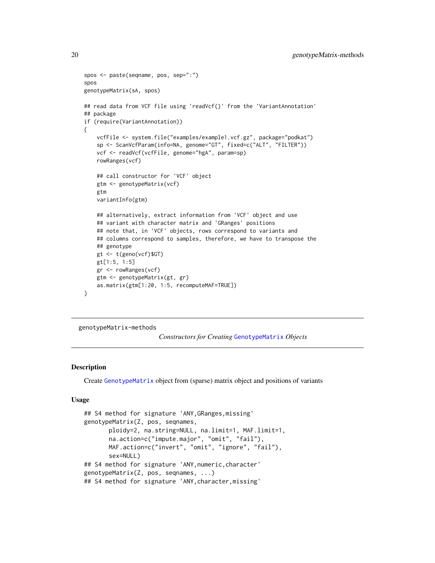```
spos <- paste(seqname, pos, sep=":")
spos
genotypeMatrix(sA, spos)
## read data from VCF file using 'readVcf()' from the 'VariantAnnotation'
## package
if (require(VariantAnnotation))
{
   vcfFile <- system.file("examples/example1.vcf.gz", package="podkat")
   sp <- ScanVcfParam(info=NA, genome="GT", fixed=c("ALT", "FILTER"))
   vcf <- readVcf(vcfFile, genome="hgA", param=sp)
    rowRanges(vcf)
    ## call constructor for 'VCF' object
   gtm <- genotypeMatrix(vcf)
   gtm
   variantInfo(gtm)
   ## alternatively, extract information from 'VCF' object and use
    ## variant with character matrix and 'GRanges' positions
    ## note that, in 'VCF' objects, rows correspond to variants and
    ## columns correspond to samples, therefore, we have to transpose the
    ## genotype
   gt <- t(geno(vcf)$GT)
   gt[1:5, 1:5]
   gr <- rowRanges(vcf)
    gtm <- genotypeMatrix(gt, gr)
   as.matrix(gtm[1:20, 1:5, recomputeMAF=TRUE])
}
```
genotypeMatrix-methods

*Constructors for Creating* [GenotypeMatrix](#page-17-1) *Objects*

# <span id="page-19-1"></span>**Description**

Create [GenotypeMatrix](#page-17-1) object from (sparse) matrix object and positions of variants

# Usage

```
## S4 method for signature 'ANY,GRanges,missing'
genotypeMatrix(Z, pos, seqnames,
       ploidy=2, na.string=NULL, na.limit=1, MAF.limit=1,
       na.action=c("impute.major", "omit", "fail"),
      MAF.action=c("invert", "omit", "ignore", "fail"),
       sex=NULL)
## S4 method for signature 'ANY,numeric,character'
genotypeMatrix(Z, pos, seqnames, ...)
## S4 method for signature 'ANY,character,missing'
```
<span id="page-19-0"></span>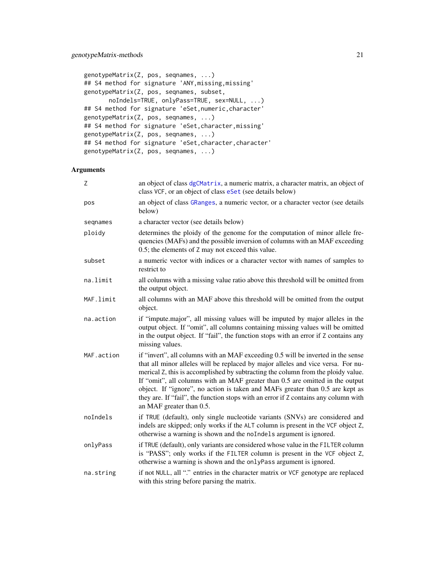```
genotypeMatrix(Z, pos, seqnames, ...)
## S4 method for signature 'ANY,missing,missing'
genotypeMatrix(Z, pos, seqnames, subset,
       noIndels=TRUE, onlyPass=TRUE, sex=NULL, ...)
## S4 method for signature 'eSet,numeric,character'
genotypeMatrix(Z, pos, seqnames, ...)
## S4 method for signature 'eSet, character, missing'
genotypeMatrix(Z, pos, seqnames, ...)
## S4 method for signature 'eSet, character, character'
genotypeMatrix(Z, pos, seqnames, ...)
```
# Arguments

| Z          | an object of class dgCMatrix, a numeric matrix, a character matrix, an object of<br>class VCF, or an object of class eSet (see details below)                                                                                                                                                                                                                                                                                                                                                                                                 |
|------------|-----------------------------------------------------------------------------------------------------------------------------------------------------------------------------------------------------------------------------------------------------------------------------------------------------------------------------------------------------------------------------------------------------------------------------------------------------------------------------------------------------------------------------------------------|
| pos        | an object of class GRanges, a numeric vector, or a character vector (see details<br>below)                                                                                                                                                                                                                                                                                                                                                                                                                                                    |
| seqnames   | a character vector (see details below)                                                                                                                                                                                                                                                                                                                                                                                                                                                                                                        |
| ploidy     | determines the ploidy of the genome for the computation of minor allele fre-<br>quencies (MAFs) and the possible inversion of columns with an MAF exceeding<br>0.5; the elements of Z may not exceed this value.                                                                                                                                                                                                                                                                                                                              |
| subset     | a numeric vector with indices or a character vector with names of samples to<br>restrict to                                                                                                                                                                                                                                                                                                                                                                                                                                                   |
| na.limit   | all columns with a missing value ratio above this threshold will be omitted from<br>the output object.                                                                                                                                                                                                                                                                                                                                                                                                                                        |
| MAF.limit  | all columns with an MAF above this threshold will be omitted from the output<br>object.                                                                                                                                                                                                                                                                                                                                                                                                                                                       |
| na.action  | if "impute.major", all missing values will be imputed by major alleles in the<br>output object. If "omit", all columns containing missing values will be omitted<br>in the output object. If "fail", the function stops with an error if Z contains any<br>missing values.                                                                                                                                                                                                                                                                    |
| MAF.action | if "invert", all columns with an MAF exceeding 0.5 will be inverted in the sense<br>that all minor alleles will be replaced by major alleles and vice versa. For nu-<br>merical Z, this is accomplished by subtracting the column from the ploidy value.<br>If "omit", all columns with an MAF greater than 0.5 are omitted in the output<br>object. If "ignore", no action is taken and MAFs greater than 0.5 are kept as<br>they are. If "fail", the function stops with an error if Z contains any column with<br>an MAF greater than 0.5. |
| noIndels   | if TRUE (default), only single nucleotide variants (SNVs) are considered and<br>indels are skipped; only works if the ALT column is present in the VCF object Z,<br>otherwise a warning is shown and the noIndels argument is ignored.                                                                                                                                                                                                                                                                                                        |
| onlyPass   | if TRUE (default), only variants are considered whose value in the FILTER column<br>is "PASS"; only works if the FILTER column is present in the VCF object Z,<br>otherwise a warning is shown and the onlyPass argument is ignored.                                                                                                                                                                                                                                                                                                          |
| na.string  | if not NULL, all "." entries in the character matrix or VCF genotype are replaced<br>with this string before parsing the matrix.                                                                                                                                                                                                                                                                                                                                                                                                              |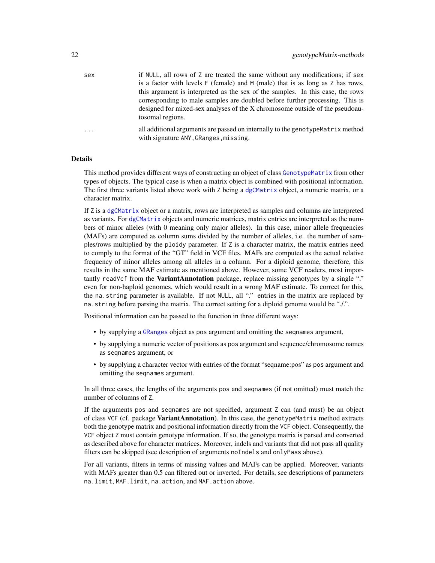<span id="page-21-0"></span>

| sex | if NULL, all rows of Z are treated the same without any modifications; if sex  |
|-----|--------------------------------------------------------------------------------|
|     | is a factor with levels F (female) and M (male) that is as long as Z has rows, |
|     | this argument is interpreted as the sex of the samples. In this case, the rows |
|     | corresponding to male samples are doubled before further processing. This is   |
|     | designed for mixed-sex analyses of the X chromosome outside of the pseudoau-   |
|     | tosomal regions.                                                               |

... all additional arguments are passed on internally to the genotypeMatrix method with signature ANY,GRanges,missing.

# Details

This method provides different ways of constructing an object of class [GenotypeMatrix](#page-17-1) from other types of objects. The typical case is when a matrix object is combined with positional information. The first three variants listed above work with Z being a [dgCMatrix](#page-0-0) object, a numeric matrix, or a character matrix.

If Z is a [dgCMatrix](#page-0-0) object or a matrix, rows are interpreted as samples and columns are interpreted as variants. For [dgCMatrix](#page-0-0) objects and numeric matrices, matrix entries are interpreted as the numbers of minor alleles (with 0 meaning only major alleles). In this case, minor allele frequencies (MAFs) are computed as column sums divided by the number of alleles, i.e. the number of samples/rows multiplied by the ploidy parameter. If Z is a character matrix, the matrix entries need to comply to the format of the "GT" field in VCF files. MAFs are computed as the actual relative frequency of minor alleles among all alleles in a column. For a diploid genome, therefore, this results in the same MAF estimate as mentioned above. However, some VCF readers, most importantly readVcf from the **VariantAnnotation** package, replace missing genotypes by a single "." even for non-haploid genomes, which would result in a wrong MAF estimate. To correct for this, the na.string parameter is available. If not NULL, all "." entries in the matrix are replaced by na.string before parsing the matrix. The correct setting for a diploid genome would be "./.".

Positional information can be passed to the function in three different ways:

- by supplying a [GRanges](#page-0-0) object as pos argument and omitting the seqnames argument,
- by supplying a numeric vector of positions as pos argument and sequence/chromosome names as seqnames argument, or
- by supplying a character vector with entries of the format "seqname:pos" as pos argument and omitting the seqnames argument.

In all three cases, the lengths of the arguments pos and seqnames (if not omitted) must match the number of columns of Z.

If the arguments pos and seqnames are not specified, argument Z can (and must) be an object of class VCF (cf. package VariantAnnotation). In this case, the genotypeMatrix method extracts both the genotype matrix and positional information directly from the VCF object. Consequently, the VCF object Z must contain genotype information. If so, the genotype matrix is parsed and converted as described above for character matrices. Moreover, indels and variants that did not pass all quality filters can be skipped (see description of arguments noIndels and onlyPass above).

For all variants, filters in terms of missing values and MAFs can be applied. Moreover, variants with MAFs greater than 0.5 can filtered out or inverted. For details, see descriptions of parameters na.limit, MAF.limit, na.action, and MAF.action above.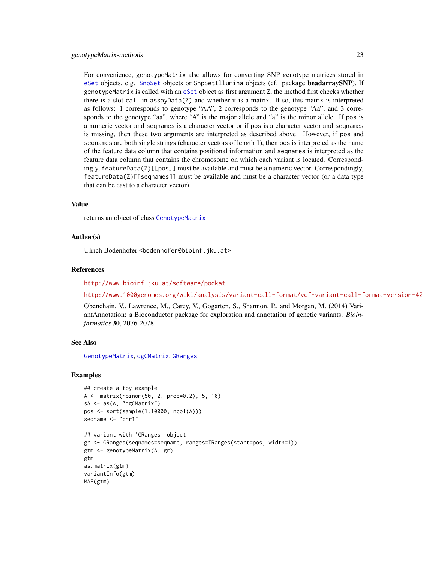<span id="page-22-0"></span>For convenience, genotypeMatrix also allows for converting SNP genotype matrices stored in [eSet](#page-0-0) objects, e.g. [SnpSet](#page-0-0) objects or SnpSetIllumina objects (cf. package beadarraySNP). If genotypeMatrix is called with an [eSet](#page-0-0) object as first argument Z, the method first checks whether there is a slot call in assayData(Z) and whether it is a matrix. If so, this matrix is interpreted as follows: 1 corresponds to genotype "AA", 2 corresponds to the genotype "Aa", and 3 corresponds to the genotype "aa", where "A" is the major allele and "a" is the minor allele. If pos is a numeric vector and seqnames is a character vector or if pos is a character vector and seqnames is missing, then these two arguments are interpreted as described above. However, if pos and seqnames are both single strings (character vectors of length 1), then pos is interpreted as the name of the feature data column that contains positional information and seqnames is interpreted as the feature data column that contains the chromosome on which each variant is located. Correspondingly, featureData(Z)[[pos]] must be available and must be a numeric vector. Correspondingly,

 $featureData(Z)[[sequences]]$  must be available and must be a character vector (or a data type

#### Value

returns an object of class [GenotypeMatrix](#page-17-1)

that can be cast to a character vector).

#### Author(s)

Ulrich Bodenhofer <bodenhofer@bioinf.jku.at>

#### References

<http://www.bioinf.jku.at/software/podkat>

<http://www.1000genomes.org/wiki/analysis/variant-call-format/vcf-variant-call-format-version-42>

Obenchain, V., Lawrence, M., Carey, V., Gogarten, S., Shannon, P., and Morgan, M. (2014) VariantAnnotation: a Bioconductor package for exploration and annotation of genetic variants. *Bioinformatics* 30, 2076-2078.

# See Also

[GenotypeMatrix](#page-17-1), [dgCMatrix](#page-0-0), [GRanges](#page-0-0)

# Examples

```
## create a toy example
A <- matrix(rbinom(50, 2, prob=0.2), 5, 10)
sA \leq -as(A, "dgCMatrix")pos <- sort(sample(1:10000, ncol(A)))
seqname <- "chr1"
## variant with 'GRanges' object
gr <- GRanges(seqnames=seqname, ranges=IRanges(start=pos, width=1))
gtm <- genotypeMatrix(A, gr)
gtm
as.matrix(gtm)
variantInfo(gtm)
MAF(gtm)
```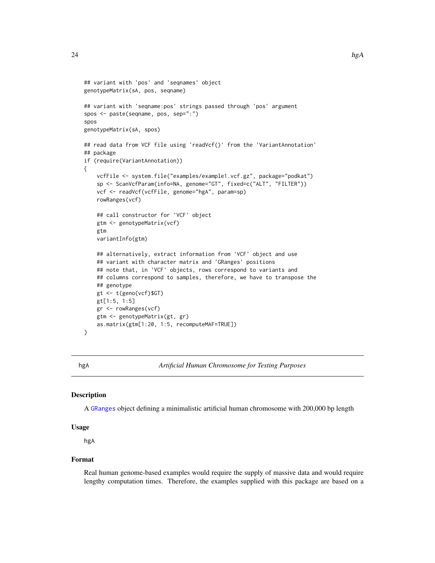```
## variant with 'pos' and 'seqnames' object
genotypeMatrix(sA, pos, seqname)
## variant with 'seqname:pos' strings passed through 'pos' argument
spos <- paste(seqname, pos, sep=":")
spos
genotypeMatrix(sA, spos)
## read data from VCF file using 'readVcf()' from the 'VariantAnnotation'
## package
if (require(VariantAnnotation))
{
   vcfFile <- system.file("examples/example1.vcf.gz", package="podkat")
    sp <- ScanVcfParam(info=NA, genome="GT", fixed=c("ALT", "FILTER"))
   vcf <- readVcf(vcfFile, genome="hgA", param=sp)
    rowRanges(vcf)
   ## call constructor for 'VCF' object
   gtm <- genotypeMatrix(vcf)
   gtm
   variantInfo(gtm)
    ## alternatively, extract information from 'VCF' object and use
    ## variant with character matrix and 'GRanges' positions
    ## note that, in 'VCF' objects, rows correspond to variants and
    ## columns correspond to samples, therefore, we have to transpose the
    ## genotype
    gt <- t(geno(vcf)$GT)
   gt[1:5, 1:5]
   gr <- rowRanges(vcf)
   gtm <- genotypeMatrix(gt, gr)
    as.matrix(gtm[1:20, 1:5, recomputeMAF=TRUE])
}
```
hgA *Artificial Human Chromosome for Testing Purposes*

# Description

A [GRanges](#page-0-0) object defining a minimalistic artificial human chromosome with 200,000 bp length

# Usage

hgA

#### Format

Real human genome-based examples would require the supply of massive data and would require lengthy computation times. Therefore, the examples supplied with this package are based on a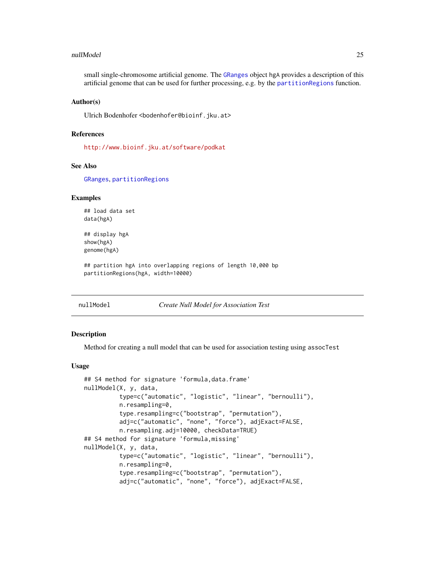#### <span id="page-24-0"></span>nullModel 25

small single-chromosome artificial genome. The [GRanges](#page-0-0) object hgA provides a description of this artificial genome that can be used for further processing, e.g. by the [partitionRegions](#page-32-1) function.

# Author(s)

Ulrich Bodenhofer <bodenhofer@bioinf.jku.at>

# References

<http://www.bioinf.jku.at/software/podkat>

#### See Also

[GRanges](#page-0-0), [partitionRegions](#page-32-1)

# Examples

## load data set data(hgA)

## display hgA show(hgA) genome(hgA)

## partition hgA into overlapping regions of length 10,000 bp partitionRegions(hgA, width=10000)

<span id="page-24-1"></span>nullModel *Create Null Model for Association Test*

# <span id="page-24-2"></span>**Description**

Method for creating a null model that can be used for association testing using assocTest

# Usage

```
## S4 method for signature 'formula,data.frame'
nullModel(X, y, data,
          type=c("automatic", "logistic", "linear", "bernoulli"),
          n.resampling=0,
          type.resampling=c("bootstrap", "permutation"),
          adj=c("automatic", "none", "force"), adjExact=FALSE,
         n.resampling.adj=10000, checkData=TRUE)
## S4 method for signature 'formula,missing'
nullModel(X, y, data,
          type=c("automatic", "logistic", "linear", "bernoulli"),
          n.resampling=0,
          type.resampling=c("bootstrap", "permutation"),
          adj=c("automatic", "none", "force"), adjExact=FALSE,
```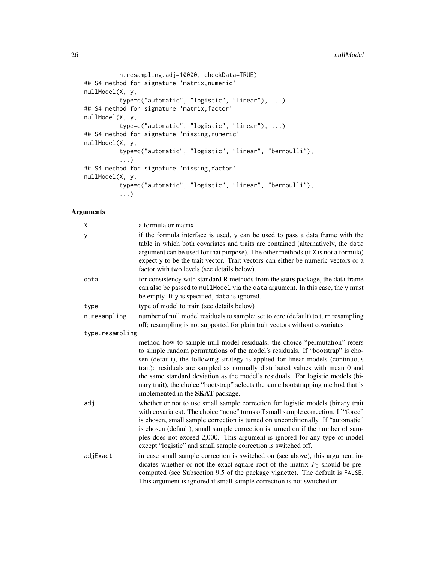```
n.resampling.adj=10000, checkData=TRUE)
## S4 method for signature 'matrix,numeric'
nullModel(X, y,
          type=c("automatic", "logistic", "linear"), ...)
## S4 method for signature 'matrix,factor'
nullModel(X, y,
          type=c("automatic", "logistic", "linear"), ...)
## S4 method for signature 'missing,numeric'
nullModel(X, y,
          type=c("automatic", "logistic", "linear", "bernoulli"),
          ...)
## S4 method for signature 'missing,factor'
nullModel(X, y,
          type=c("automatic", "logistic", "linear", "bernoulli"),
          ...)
```
# Arguments

| χ               | a formula or matrix                                                                                                                                                                                                                                                                                                                                                                                                                                                                                                                              |
|-----------------|--------------------------------------------------------------------------------------------------------------------------------------------------------------------------------------------------------------------------------------------------------------------------------------------------------------------------------------------------------------------------------------------------------------------------------------------------------------------------------------------------------------------------------------------------|
| у               | if the formula interface is used, y can be used to pass a data frame with the<br>table in which both covariates and traits are contained (alternatively, the data<br>argument can be used for that purpose). The other methods (if X is not a formula)<br>expect y to be the trait vector. Trait vectors can either be numeric vectors or a<br>factor with two levels (see details below).                                                                                                                                                       |
| data            | for consistency with standard R methods from the <b>stats</b> package, the data frame<br>can also be passed to nullModel via the data argument. In this case, the y must<br>be empty. If y is specified, data is ignored.                                                                                                                                                                                                                                                                                                                        |
| type            | type of model to train (see details below)                                                                                                                                                                                                                                                                                                                                                                                                                                                                                                       |
| n.resampling    | number of null model residuals to sample; set to zero (default) to turn resampling<br>off; resampling is not supported for plain trait vectors without covariates                                                                                                                                                                                                                                                                                                                                                                                |
| type.resampling |                                                                                                                                                                                                                                                                                                                                                                                                                                                                                                                                                  |
|                 | method how to sample null model residuals; the choice "permutation" refers<br>to simple random permutations of the model's residuals. If "bootstrap" is cho-<br>sen (default), the following strategy is applied for linear models (continuous<br>trait): residuals are sampled as normally distributed values with mean 0 and<br>the same standard deviation as the model's residuals. For logistic models (bi-<br>nary trait), the choice "bootstrap" selects the same bootstrapping method that is<br>implemented in the <b>SKAT</b> package. |
| adj             | whether or not to use small sample correction for logistic models (binary trait<br>with covariates). The choice "none" turns off small sample correction. If "force"<br>is chosen, small sample correction is turned on unconditionally. If "automatic"<br>is chosen (default), small sample correction is turned on if the number of sam-<br>ples does not exceed 2,000. This argument is ignored for any type of model<br>except "logistic" and small sample correction is switched off.                                                       |
| adjExact        | in case small sample correction is switched on (see above), this argument in-<br>dicates whether or not the exact square root of the matrix $P_0$ should be pre-<br>computed (see Subsection 9.5 of the package vignette). The default is FALSE.<br>This argument is ignored if small sample correction is not switched on.                                                                                                                                                                                                                      |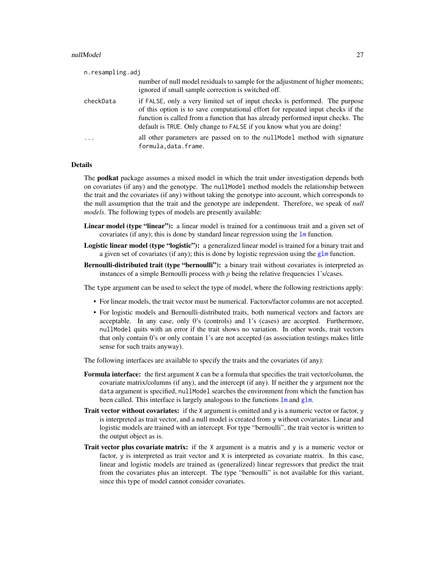#### <span id="page-26-0"></span>nullModel 27

| n.resampling.adj |                                                                                                                                                                                                                                                                                                                            |
|------------------|----------------------------------------------------------------------------------------------------------------------------------------------------------------------------------------------------------------------------------------------------------------------------------------------------------------------------|
|                  | number of null model residuals to sample for the adjustment of higher moments;<br>ignored if small sample correction is switched off.                                                                                                                                                                                      |
| checkData        | if FALSE, only a very limited set of input checks is performed. The purpose<br>of this option is to save computational effort for repeated input checks if the<br>function is called from a function that has already performed input checks. The<br>default is TRUE. Only change to FALSE if you know what you are doing! |
| $\cdots$         | all other parameters are passed on to the null model method with signature<br>formula, data. frame.                                                                                                                                                                                                                        |

# Details

The podkat package assumes a mixed model in which the trait under investigation depends both on covariates (if any) and the genotype. The nullModel method models the relationship between the trait and the covariates (if any) without taking the genotype into account, which corresponds to the null assumption that the trait and the genotype are independent. Therefore, we speak of *null models*. The following types of models are presently available:

- Linear model (type "linear"): a linear model is trained for a continuous trait and a given set of covariates (if any); this is done by standard linear regression using the [lm](#page-0-0) function.
- Logistic linear model (type "logistic"): a generalized linear model is trained for a binary trait and a given set of covariates (if any); this is done by logistic regression using the [glm](#page-0-0) function.
- Bernoulli-distributed trait (type "bernoulli"): a binary trait without covariates is interpreted as instances of a simple Bernoulli process with  $p$  being the relative frequencies 1's/cases.

The type argument can be used to select the type of model, where the following restrictions apply:

- For linear models, the trait vector must be numerical. Factors/factor columns are not accepted.
- For logistic models and Bernoulli-distributed traits, both numerical vectors and factors are acceptable. In any case, only 0's (controls) and 1's (cases) are accepted. Furthermore, nullModel quits with an error if the trait shows no variation. In other words, trait vectors that only contain 0's or only contain 1's are not accepted (as association testings makes little sense for such traits anyway).

The following interfaces are available to specify the traits and the covariates (if any):

- Formula interface: the first argument X can be a formula that specifies the trait vector/column, the covariate matrix/columns (if any), and the intercept (if any). If neither the y argument nor the data argument is specified, nullModel searches the environment from which the function has been called. This interface is largely analogous to the functions  $\text{Im}$  and g[lm](#page-0-0).
- Trait vector without covariates: if the X argument is omitted and y is a numeric vector or factor, y is interpreted as trait vector, and a null model is created from y without covariates. Linear and logistic models are trained with an intercept. For type "bernoulli", the trait vector is written to the output object as is.
- Trait vector plus covariate matrix: if the X argument is a matrix and y is a numeric vector or factor, y is interpreted as trait vector and X is interpreted as covariate matrix. In this case, linear and logistic models are trained as (generalized) linear regressors that predict the trait from the covariates plus an intercept. The type "bernoulli" is not available for this variant, since this type of model cannot consider covariates.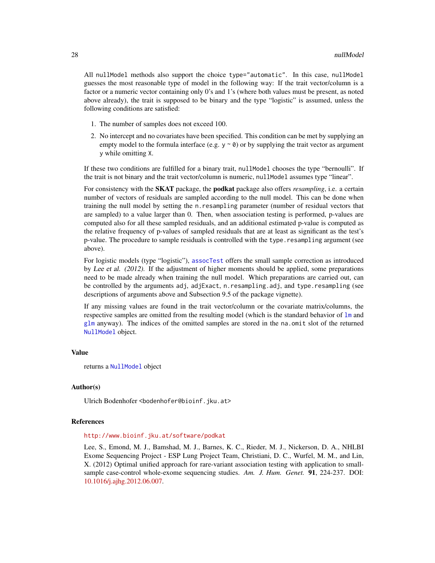<span id="page-27-0"></span>All nullModel methods also support the choice type="automatic". In this case, nullModel guesses the most reasonable type of model in the following way: If the trait vector/column is a factor or a numeric vector containing only 0's and 1's (where both values must be present, as noted above already), the trait is supposed to be binary and the type "logistic" is assumed, unless the following conditions are satisfied:

- 1. The number of samples does not exceed 100.
- 2. No intercept and no covariates have been specified. This condition can be met by supplying an empty model to the formula interface (e.g.  $y \sim \theta$ ) or by supplying the trait vector as argument y while omitting X.

If these two conditions are fulfilled for a binary trait, nullModel chooses the type "bernoulli". If the trait is not binary and the trait vector/column is numeric, nullModel assumes type "linear".

For consistency with the SKAT package, the podkat package also offers *resampling*, i.e. a certain number of vectors of residuals are sampled according to the null model. This can be done when training the null model by setting the n.resampling parameter (number of residual vectors that are sampled) to a value larger than 0. Then, when association testing is performed, p-values are computed also for all these sampled residuals, and an additional estimated p-value is computed as the relative frequency of p-values of sampled residuals that are at least as significant as the test's p-value. The procedure to sample residuals is controlled with the type.resampling argument (see above).

For logistic models (type "logistic"), [assocTest](#page-3-1) offers the small sample correction as introduced by Lee et al. (2012). If the adjustment of higher moments should be applied, some preparations need to be made already when training the null model. Which preparations are carried out, can be controlled by the arguments adj, adjExact, n.resampling.adj, and type.resampling (see descriptions of arguments above and Subsection 9.5 of the package vignette).

If any missing values are found in the trait vector/column or the covariate matrix/columns, the respective samples are omitted from the resulting model (which is the standard behavior of  $\text{Im}$  and [glm](#page-0-0) anyway). The indices of the omitted samples are stored in the na.omit slot of the returned [NullModel](#page-28-1) object.

#### Value

returns a [NullModel](#page-28-1) object

# Author(s)

Ulrich Bodenhofer <bodenhofer@bioinf.jku.at>

# References

<http://www.bioinf.jku.at/software/podkat>

Lee, S., Emond, M. J., Bamshad, M. J., Barnes, K. C., Rieder, M. J., Nickerson, D. A., NHLBI Exome Sequencing Project - ESP Lung Project Team, Christiani, D. C., Wurfel, M. M., and Lin, X. (2012) Optimal unified approach for rare-variant association testing with application to smallsample case-control whole-exome sequencing studies. *Am. J. Hum. Genet.* 91, 224-237. DOI: [10.1016/j.ajhg.2012.06.007.](http://dx.doi.org/10.1016/j.ajhg.2012.06.007)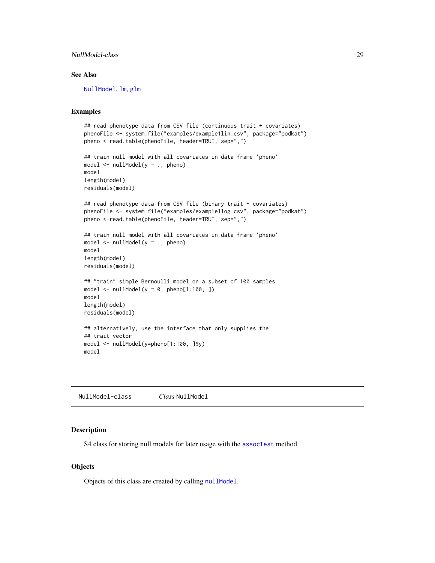# <span id="page-28-0"></span>NullModel-class 29

# See Also

[NullModel](#page-28-1), [lm](#page-0-0), [glm](#page-0-0)

# Examples

```
## read phenotype data from CSV file (continuous trait + covariates)
phenoFile <- system.file("examples/example1lin.csv", package="podkat")
pheno <-read.table(phenoFile, header=TRUE, sep=",")
## train null model with all covariates in data frame 'pheno'
model <- nullModel(y ~ ., pheno)
model
length(model)
residuals(model)
## read phenotype data from CSV file (binary trait + covariates)
phenoFile <- system.file("examples/example1log.csv", package="podkat")
pheno <-read.table(phenoFile, header=TRUE, sep=",")
## train null model with all covariates in data frame 'pheno'
model <- nullModel(y ~ ., pheno)
model
length(model)
residuals(model)
## "train" simple Bernoulli model on a subset of 100 samples
model \le nullModel(y \sim 0, pheno[1:100, ])
model
length(model)
residuals(model)
## alternatively, use the interface that only supplies the
## trait vector
model <- nullModel(y=pheno[1:100, ]$y)
model
```
<span id="page-28-1"></span>NullModel-class *Class* NullModel

#### Description

S4 class for storing null models for later usage with the [assocTest](#page-3-1) method

# **Objects**

Objects of this class are created by calling [nullModel](#page-24-1).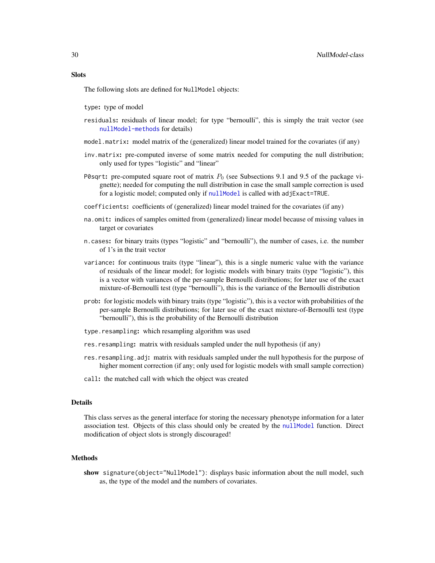# **Slots**

The following slots are defined for NullModel objects:

type: type of model

- residuals: residuals of linear model; for type "bernoulli", this is simply the trait vector (see [nullModel-methods](#page-24-2) for details)
- model.matrix: model matrix of the (generalized) linear model trained for the covariates (if any)
- inv.matrix: pre-computed inverse of some matrix needed for computing the null distribution; only used for types "logistic" and "linear"
- P0sqrt: pre-computed square root of matrix  $P_0$  (see Subsections 9.1 and 9.5 of the package vignette); needed for computing the null distribution in case the small sample correction is used for a logistic model; computed only if [nullModel](#page-24-1) is called with adjExact=TRUE.
- coefficients: coefficients of (generalized) linear model trained for the covariates (if any)
- na.omit: indices of samples omitted from (generalized) linear model because of missing values in target or covariates
- n.cases: for binary traits (types "logistic" and "bernoulli"), the number of cases, i.e. the number of 1's in the trait vector
- variance: for continuous traits (type "linear"), this is a single numeric value with the variance of residuals of the linear model; for logistic models with binary traits (type "logistic"), this is a vector with variances of the per-sample Bernoulli distributions; for later use of the exact mixture-of-Bernoulli test (type "bernoulli"), this is the variance of the Bernoulli distribution
- prob: for logistic models with binary traits (type "logistic"), this is a vector with probabilities of the per-sample Bernoulli distributions; for later use of the exact mixture-of-Bernoulli test (type "bernoulli"), this is the probability of the Bernoulli distribution
- type.resampling: which resampling algorithm was used
- res.resampling: matrix with residuals sampled under the null hypothesis (if any)
- res.resampling.adj: matrix with residuals sampled under the null hypothesis for the purpose of higher moment correction (if any; only used for logistic models with small sample correction)
- call: the matched call with which the object was created

# **Details**

This class serves as the general interface for storing the necessary phenotype information for a later association test. Objects of this class should only be created by the [nullModel](#page-24-1) function. Direct modification of object slots is strongly discouraged!

#### Methods

show signature(object="NullModel"): displays basic information about the null model, such as, the type of the model and the numbers of covariates.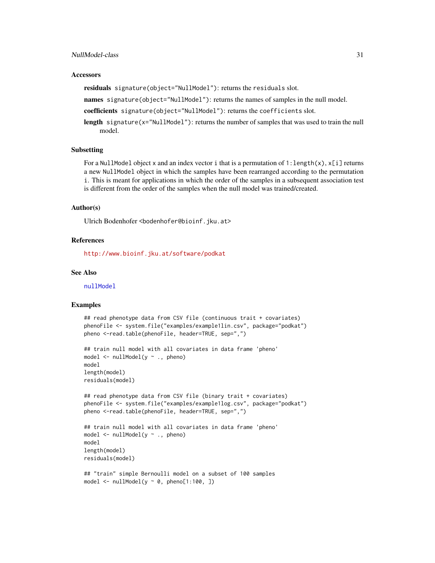# <span id="page-30-0"></span>NullModel-class 31

#### **Accessors**

residuals signature(object="NullModel"): returns the residuals slot.

names signature(object="NullModel"): returns the names of samples in the null model.

coefficients signature(object="NullModel"): returns the coefficients slot.

length signature(x="NullModel"): returns the number of samples that was used to train the null model.

# Subsetting

For a NullModel object x and an index vector i that is a permutation of 1: length(x),  $x[i]$  returns a new NullModel object in which the samples have been rearranged according to the permutation i. This is meant for applications in which the order of the samples in a subsequent association test is different from the order of the samples when the null model was trained/created.

# Author(s)

Ulrich Bodenhofer <bodenhofer@bioinf.jku.at>

# References

<http://www.bioinf.jku.at/software/podkat>

#### See Also

[nullModel](#page-24-1)

# Examples

```
## read phenotype data from CSV file (continuous trait + covariates)
phenoFile <- system.file("examples/example1lin.csv", package="podkat")
pheno <-read.table(phenoFile, header=TRUE, sep=",")
## train null model with all covariates in data frame 'pheno'
model <- nullModel(y ~ ., pheno)
```

```
model
length(model)
residuals(model)
```

```
## read phenotype data from CSV file (binary trait + covariates)
phenoFile <- system.file("examples/example1log.csv", package="podkat")
pheno <-read.table(phenoFile, header=TRUE, sep=",")
```

```
## train null model with all covariates in data frame 'pheno'
model \le nullModel(y \sim ., pheno)
model
length(model)
residuals(model)
```

```
## "train" simple Bernoulli model on a subset of 100 samples
model \le nullModel(y \sim 0, pheno[1:100, ])
```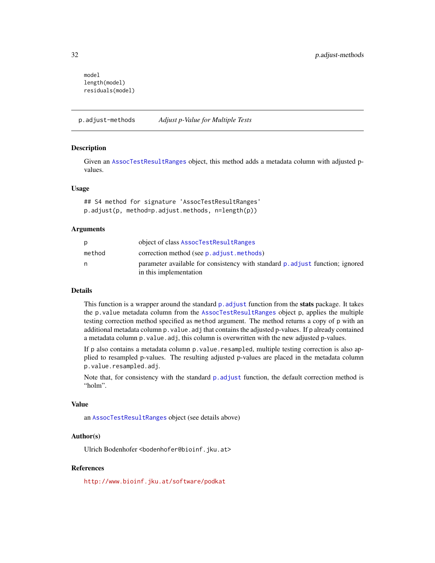```
model
length(model)
residuals(model)
```
p.adjust-methods *Adjust p-Value for Multiple Tests*

# <span id="page-31-1"></span>**Description**

Given an [AssocTestResultRanges](#page-10-1) object, this method adds a metadata column with adjusted pvalues.

# Usage

## S4 method for signature 'AssocTestResultRanges' p.adjust(p, method=p.adjust.methods, n=length(p))

# Arguments

|        | object of class AssocTestResultRanges                                        |
|--------|------------------------------------------------------------------------------|
| method | correction method (see p. adjust. methods)                                   |
| n      | parameter available for consistency with standard p adjust function; ignored |
|        | in this implementation                                                       |

#### Details

This function is a wrapper around the standard  $p$ . adjust function from the **stats** package. It takes the p.value metadata column from the [AssocTestResultRanges](#page-10-1) object p, applies the multiple testing correction method specified as method argument. The method returns a copy of p with an additional metadata column p.value.adj that contains the adjusted p-values. If p already contained a metadata column p.value.adj, this column is overwritten with the new adjusted p-values.

If p also contains a metadata column p. value. resampled, multiple testing correction is also applied to resampled p-values. The resulting adjusted p-values are placed in the metadata column p.value.resampled.adj.

Note that, for consistency with the standard  $p$  adjust function, the default correction method is "holm".

# Value

an [AssocTestResultRanges](#page-10-1) object (see details above)

# Author(s)

Ulrich Bodenhofer <bodenhofer@bioinf.jku.at>

# References

<http://www.bioinf.jku.at/software/podkat>

<span id="page-31-0"></span>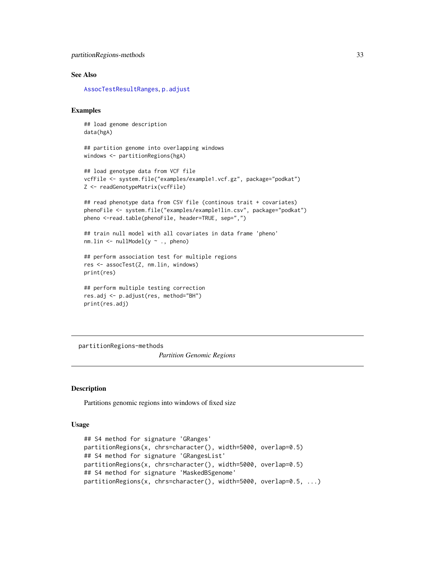```
partitionRegions-methods 33
```
# See Also

[AssocTestResultRanges](#page-10-1), [p.adjust](#page-31-1)

# Examples

## load genome description data(hgA)

```
## partition genome into overlapping windows
windows <- partitionRegions(hgA)
```

```
## load genotype data from VCF file
vcfFile <- system.file("examples/example1.vcf.gz", package="podkat")
Z <- readGenotypeMatrix(vcfFile)
```

```
## read phenotype data from CSV file (continous trait + covariates)
phenoFile <- system.file("examples/example1lin.csv", package="podkat")
pheno <-read.table(phenoFile, header=TRUE, sep=",")
```

```
## train null model with all covariates in data frame 'pheno'
nm.lin \le nullModel(y \sim ., pheno)
```

```
## perform association test for multiple regions
res <- assocTest(Z, nm.lin, windows)
print(res)
```

```
## perform multiple testing correction
res.adj <- p.adjust(res, method="BH")
print(res.adj)
```
partitionRegions-methods

*Partition Genomic Regions*

#### <span id="page-32-1"></span>Description

Partitions genomic regions into windows of fixed size

# Usage

```
## S4 method for signature 'GRanges'
partitionRegions(x, chrs=character(), width=5000, overlap=0.5)
## S4 method for signature 'GRangesList'
partitionRegions(x, chrs=character(), width=5000, overlap=0.5)
## S4 method for signature 'MaskedBSgenome'
partitionRegions(x, chrs=character(), width=5000, overlap=0.5, ...)
```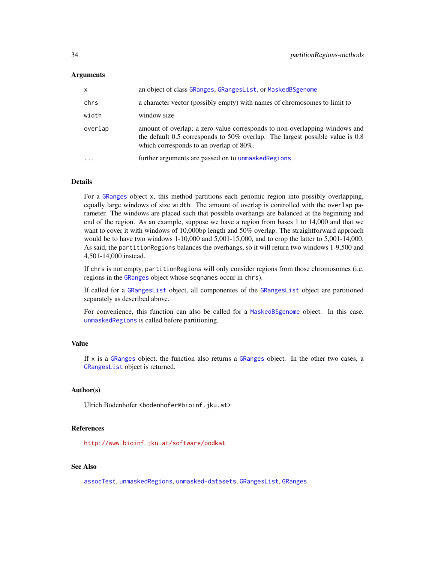# <span id="page-33-0"></span>Arguments

| $\mathsf{x}$ | an object of class GRanges, GRangesList, or MaskedBSgenome                                                                                                                                                   |
|--------------|--------------------------------------------------------------------------------------------------------------------------------------------------------------------------------------------------------------|
| chrs         | a character vector (possibly empty) with names of chromosomes to limit to                                                                                                                                    |
| width        | window size                                                                                                                                                                                                  |
| overlap      | amount of overlap; a zero value corresponds to non-overlapping windows and<br>the default 0.5 corresponds to 50% overlap. The largest possible value is $0.8$<br>which corresponds to an overlap of $80\%$ . |
| $\ddotsc$    | further arguments are passed on to unmasked Regions.                                                                                                                                                         |

# Details

For a [GRanges](#page-0-0) object x, this method partitions each genomic region into possibly overlapping, equally large windows of size width. The amount of overlap is controlled with the overlap parameter. The windows are placed such that possible overhangs are balanced at the beginning and end of the region. As an example, suppose we have a region from bases 1 to 14,000 and that we want to cover it with windows of 10,000bp length and 50% overlap. The straightforward approach would be to have two windows 1-10,000 and 5,001-15,000, and to crop the latter to 5,001-14,000. As said, the partitionRegions balances the overhangs, so it will return two windows 1-9,500 and 4,501-14,000 instead.

If chrs is not empty, partitionRegions will only consider regions from those chromosomes (i.e. regions in the [GRanges](#page-0-0) object whose seqnames occur in chrs).

If called for a [GRangesList](#page-0-0) object, all componentes of the [GRangesList](#page-0-0) object are partitioned separately as described above.

For convenience, this function can also be called for a [MaskedBSgenome](#page-0-0) object. In this case, [unmaskedRegions](#page-54-1) is called before partitioning.

# Value

If x is a [GRanges](#page-0-0) object, the function also returns a [GRanges](#page-0-0) object. In the other two cases, a [GRangesList](#page-0-0) object is returned.

#### Author(s)

Ulrich Bodenhofer <bodenhofer@bioinf.jku.at>

# References

<http://www.bioinf.jku.at/software/podkat>

# See Also

[assocTest](#page-3-1), [unmaskedRegions](#page-54-1), [unmasked-datasets](#page-53-1), [GRangesList](#page-0-0), [GRanges](#page-0-0)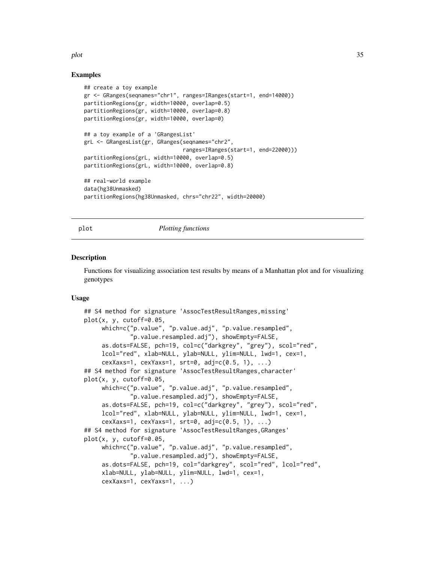# <span id="page-34-0"></span>plot the state of  $\sim$  35

# Examples

```
## create a toy example
gr <- GRanges(seqnames="chr1", ranges=IRanges(start=1, end=14000))
partitionRegions(gr, width=10000, overlap=0.5)
partitionRegions(gr, width=10000, overlap=0.8)
partitionRegions(gr, width=10000, overlap=0)
## a toy example of a 'GRangesList'
grL <- GRangesList(gr, GRanges(seqnames="chr2",
                               ranges=IRanges(start=1, end=22000)))
partitionRegions(grL, width=10000, overlap=0.5)
partitionRegions(grL, width=10000, overlap=0.8)
## real-world example
data(hg38Unmasked)
partitionRegions(hg38Unmasked, chrs="chr22", width=20000)
```
#### <span id="page-34-1"></span>plot *Plotting functions*

# Description

Functions for visualizing association test results by means of a Manhattan plot and for visualizing genotypes

#### Usage

```
## S4 method for signature 'AssocTestResultRanges,missing'
plot(x, y, cutoff=0.05,
     which=c("p.value", "p.value.adj", "p.value.resampled",
             "p.value.resampled.adj"), showEmpty=FALSE,
     as.dots=FALSE, pch=19, col=c("darkgrey", "grey"), scol="red",
     lcol="red", xlab=NULL, ylab=NULL, ylim=NULL, lwd=1, cex=1,
     cexXaxs=1, cexYaxs=1, srt=0, adj=c(0.5, 1), ...## S4 method for signature 'AssocTestResultRanges,character'
plot(x, y, cutoff=0.05,
     which=c("p.value", "p.value.adj", "p.value.resampled",
             "p.value.resampled.adj"), showEmpty=FALSE,
     as.dots=FALSE, pch=19, col=c("darkgrey", "grey"), scol="red",
     lcol="red", xlab=NULL, ylab=NULL, ylim=NULL, lwd=1, cex=1,
     cexXaxs=1, cexYaxs=1, srt=0, adj=c(0.5, 1), ...## S4 method for signature 'AssocTestResultRanges, GRanges'
plot(x, y, cutoff=0.05,
     which=c("p.value", "p.value.adj", "p.value.resampled",
             "p.value.resampled.adj"), showEmpty=FALSE,
     as.dots=FALSE, pch=19, col="darkgrey", scol="red", lcol="red",
     xlab=NULL, ylab=NULL, ylim=NULL, lwd=1, cex=1,
     cexXaxs=1, cexYaxs=1, ...)
```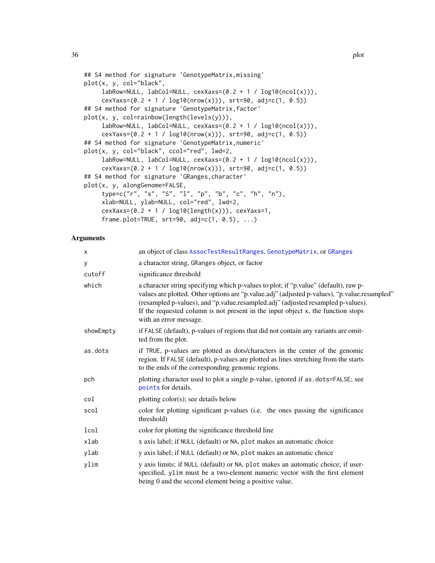```
## S4 method for signature 'GenotypeMatrix,missing'
plot(x, y, col="black",
     labRow=NULL, labCol=NULL, cexXaxs=(0.2 + 1 / log10(ncol(x))),
     cexYaxs=(0.2 + 1 / log10(nrow(x))), str=90, adj=c(1, 0.5))## S4 method for signature 'GenotypeMatrix,factor'
plot(x, y, col=rainbow(length(levels(y))),
     labRow=NULL, labCol=NULL, cexXaxs=(0.2 + 1 / log10(ncol(x))),
     cexYaxs=(0.2 + 1 / \log 10(nrow(x))), srt=90, adj=c(1, 0.5))## S4 method for signature 'GenotypeMatrix,numeric'
plot(x, y, col="black", ccol="red", lwd=2,
     labRow=NULL, labCol=NULL, cexXaxs=(0.2 + 1 / log10(ncol(x))),cexYaxs=(0.2 + 1 / log10(nrow(x))), srt=90, adj=c(1, 0.5))
## S4 method for signature 'GRanges,character'
plot(x, y, alongGenome=FALSE,
     type=c("r", "s", "S", "l", "p", "b", "c", "h", "n"),
     xlab=NULL, ylab=NULL, col="red", lwd=2,
     cexXaxs=(0.2 + 1 / log10(length(x))), cexYaxs=1,frame.plot=TRUE, str=90, adj=c(1, 0.5), ...
```
# Arguments

| X         | an object of class AssocTestResultRanges, GenotypeMatrix, or GRanges                                                                                                                                                                                                                                                                                                                   |  |
|-----------|----------------------------------------------------------------------------------------------------------------------------------------------------------------------------------------------------------------------------------------------------------------------------------------------------------------------------------------------------------------------------------------|--|
| у         | a character string, GRanges object, or factor                                                                                                                                                                                                                                                                                                                                          |  |
| cutoff    | significance threshold                                                                                                                                                                                                                                                                                                                                                                 |  |
| which     | a character string specifying which p-values to plot; if "p.value" (default), raw p-<br>values are plotted. Other options are "p.value.adj" (adjusted p-values), "p.value.resampled"<br>(resampled p-values), and "p.value.resampled.adj" (adjusted resampled p-values).<br>If the requested column is not present in the input object x, the function stops<br>with an error message. |  |
| showEmpty | if FALSE (default), p-values of regions that did not contain any variants are omit-<br>ted from the plot.                                                                                                                                                                                                                                                                              |  |
| as.dots   | if TRUE, p-values are plotted as dots/characters in the center of the genomic<br>region. If FALSE (default), p-values are plotted as lines stretching from the starts<br>to the ends of the corresponding genomic regions.                                                                                                                                                             |  |
| pch       | plotting character used to plot a single p-value, ignored if as . dots=FALSE; see<br>points for details.                                                                                                                                                                                                                                                                               |  |
| col       | plotting color(s); see details below                                                                                                                                                                                                                                                                                                                                                   |  |
| scol      | color for plotting significant p-values (i.e. the ones passing the significance<br>threshold)                                                                                                                                                                                                                                                                                          |  |
| lcol      | color for plotting the significance threshold line                                                                                                                                                                                                                                                                                                                                     |  |
| xlab      | x axis label; if NULL (default) or NA, plot makes an automatic choice                                                                                                                                                                                                                                                                                                                  |  |
| ylab      | y axis label; if NULL (default) or NA, plot makes an automatic choice                                                                                                                                                                                                                                                                                                                  |  |
| ylim      | y axis limits; if NULL (default) or NA, plot makes an automatic choice; if user-<br>specified, ylim must be a two-element numeric vector with the first element<br>being 0 and the second element being a positive value.                                                                                                                                                              |  |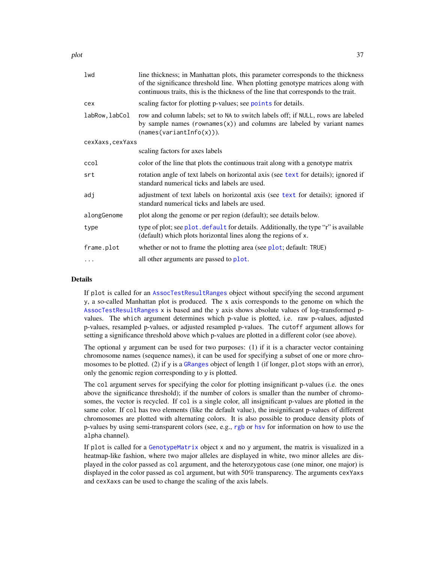<span id="page-36-0"></span>plot the state of the state of the state of the state of the state of the state of the state of the state of the state of the state of the state of the state of the state of the state of the state of the state of the state

| lwd              | line thickness; in Manhattan plots, this parameter corresponds to the thickness<br>of the significance threshold line. When plotting genotype matrices along with<br>continuous traits, this is the thickness of the line that corresponds to the trait. |  |
|------------------|----------------------------------------------------------------------------------------------------------------------------------------------------------------------------------------------------------------------------------------------------------|--|
| cex              | scaling factor for plotting p-values; see points for details.                                                                                                                                                                                            |  |
| labRow, labCol   | row and column labels; set to NA to switch labels off; if NULL, rows are labeled<br>by sample names (rownames $(x)$ ) and columns are labeled by variant names<br>(names(variantInfo(x))).                                                               |  |
| cexXaxs, cexYaxs |                                                                                                                                                                                                                                                          |  |
|                  | scaling factors for axes labels                                                                                                                                                                                                                          |  |
| ccol             | color of the line that plots the continuous trait along with a genotype matrix                                                                                                                                                                           |  |
| srt              | rotation angle of text labels on horizontal axis (see text for details); ignored if<br>standard numerical ticks and labels are used.                                                                                                                     |  |
| adj              | adjustment of text labels on horizontal axis (see text for details); ignored if<br>standard numerical ticks and labels are used.                                                                                                                         |  |
| alongGenome      | plot along the genome or per region (default); see details below.                                                                                                                                                                                        |  |
| type             | type of plot; see plot. default for details. Additionally, the type "r" is available<br>(default) which plots horizontal lines along the regions of x.                                                                                                   |  |
| frame.plot       | whether or not to frame the plotting area (see plot; default: TRUE)                                                                                                                                                                                      |  |
| .                | all other arguments are passed to plot.                                                                                                                                                                                                                  |  |

# Details

If plot is called for an [AssocTestResultRanges](#page-10-1) object without specifying the second argument y, a so-called Manhattan plot is produced. The x axis corresponds to the genome on which the [AssocTestResultRanges](#page-10-1) x is based and the y axis shows absolute values of log-transformed pvalues. The which argument determines which p-value is plotted, i.e. raw p-values, adjusted p-values, resampled p-values, or adjusted resampled p-values. The cutoff argument allows for setting a significance threshold above which p-values are plotted in a different color (see above).

The optional y argument can be used for two purposes: (1) if it is a character vector containing chromosome names (sequence names), it can be used for specifying a subset of one or more chromosomes to be plotted. (2) if y is a [GRanges](#page-0-0) object of length 1 (if longer, plot stops with an error), only the genomic region corresponding to y is plotted.

The col argument serves for specifying the color for plotting insignificant p-values (i.e. the ones above the significance threshold); if the number of colors is smaller than the number of chromosomes, the vector is recycled. If col is a single color, all insignificant p-values are plotted in the same color. If col has two elements (like the default value), the insignificant p-values of different chromosomes are plotted with alternating colors. It is also possible to produce density plots of p-values by using semi-transparent colors (see, e.g., [rgb](#page-0-0) or [hsv](#page-0-0) for information on how to use the alpha channel).

If plot is called for a [GenotypeMatrix](#page-17-1) object x and no y argument, the matrix is visualized in a heatmap-like fashion, where two major alleles are displayed in white, two minor alleles are displayed in the color passed as col argument, and the heterozygotous case (one minor, one major) is displayed in the color passed as col argument, but with 50% transparency. The arguments cexYaxs and cexXaxs can be used to change the scaling of the axis labels.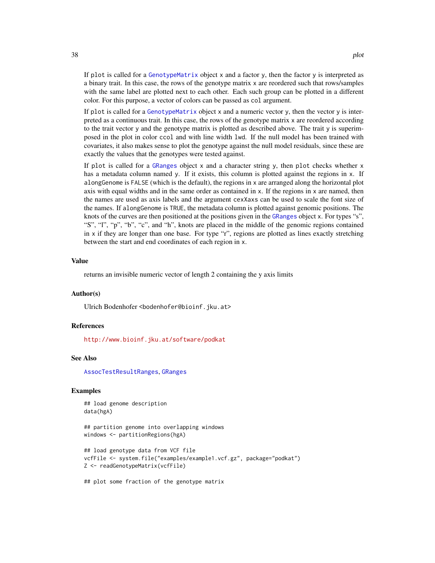<span id="page-37-0"></span>If plot is called for a [GenotypeMatrix](#page-17-1) object x and a factor y, then the factor y is interpreted as a binary trait. In this case, the rows of the genotype matrix x are reordered such that rows/samples with the same label are plotted next to each other. Each such group can be plotted in a different color. For this purpose, a vector of colors can be passed as col argument.

If plot is called for a [GenotypeMatrix](#page-17-1) object x and a numeric vector y, then the vector y is interpreted as a continuous trait. In this case, the rows of the genotype matrix x are reordered according to the trait vector y and the genotype matrix is plotted as described above. The trait y is superimposed in the plot in color ccol and with line width lwd. If the null model has been trained with covariates, it also makes sense to plot the genotype against the null model residuals, since these are exactly the values that the genotypes were tested against.

If plot is called for a [GRanges](#page-0-0) object  $x$  and a character string  $y$ , then plot checks whether  $x$ has a metadata column named y. If it exists, this column is plotted against the regions in x. If alongGenome is FALSE (which is the default), the regions in x are arranged along the horizontal plot axis with equal widths and in the same order as contained in x. If the regions in x are named, then the names are used as axis labels and the argument cexXaxs can be used to scale the font size of the names. If alongGenome is TRUE, the metadata column is plotted against genomic positions. The knots of the curves are then positioned at the positions given in the [GRanges](#page-0-0) object x. For types "s", "S", "l", "p", "b", "c", and "h", knots are placed in the middle of the genomic regions contained in  $x$  if they are longer than one base. For type "r", regions are plotted as lines exactly stretching between the start and end coordinates of each region in x.

# Value

returns an invisible numeric vector of length 2 containing the y axis limits

# Author(s)

Ulrich Bodenhofer <bodenhofer@bioinf.jku.at>

#### References

<http://www.bioinf.jku.at/software/podkat>

#### See Also

[AssocTestResultRanges](#page-10-1), [GRanges](#page-0-0)

# Examples

## load genome description data(hgA)

## partition genome into overlapping windows windows <- partitionRegions(hgA)

## load genotype data from VCF file vcfFile <- system.file("examples/example1.vcf.gz", package="podkat") Z <- readGenotypeMatrix(vcfFile)

## plot some fraction of the genotype matrix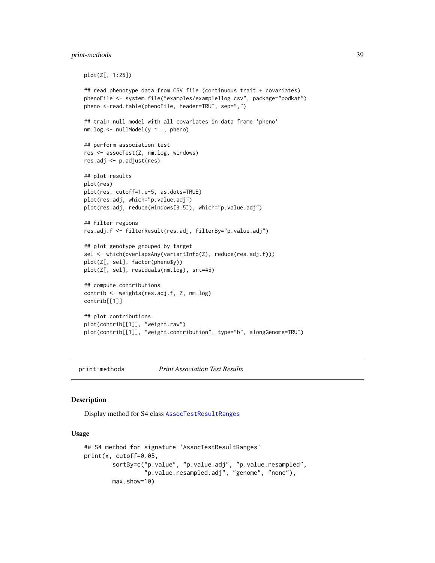# <span id="page-38-0"></span>print-methods 39

```
plot(Z[, 1:25])
## read phenotype data from CSV file (continuous trait + covariates)
phenoFile <- system.file("examples/example1log.csv", package="podkat")
pheno <-read.table(phenoFile, header=TRUE, sep=",")
## train null model with all covariates in data frame 'pheno'
nm.log <- nullModel(y ~ ., pheno)
## perform association test
res <- assocTest(Z, nm.log, windows)
res.adj <- p.adjust(res)
## plot results
plot(res)
plot(res, cutoff=1.e-5, as.dots=TRUE)
plot(res.adj, which="p.value.adj")
plot(res.adj, reduce(windows[3:5]), which="p.value.adj")
## filter regions
res.adj.f <- filterResult(res.adj, filterBy="p.value.adj")
## plot genotype grouped by target
sel <- which(overlapsAny(variantInfo(Z), reduce(res.adj.f)))
plot(Z[, sel], factor(pheno$y))
plot(Z[, sel], residuals(nm.log), srt=45)
## compute contributions
contrib <- weights(res.adj.f, Z, nm.log)
contrib[[1]]
## plot contributions
plot(contrib[[1]], "weight.raw")
plot(contrib[[1]], "weight.contribution", type="b", alongGenome=TRUE)
```
print-methods *Print Association Test Results*

# <span id="page-38-1"></span>Description

Display method for S4 class [AssocTestResultRanges](#page-10-1)

#### Usage

```
## S4 method for signature 'AssocTestResultRanges'
print(x, cutoff=0.05,
       sortBy=c("p.value", "p.value.adj", "p.value.resampled",
                 "p.value.resampled.adj", "genome", "none"),
       max.show=10)
```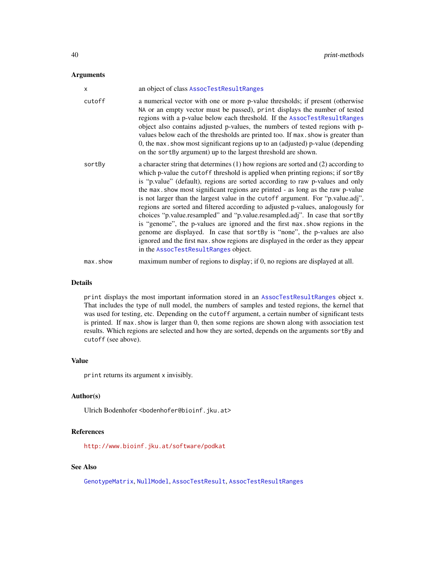# <span id="page-39-0"></span>Arguments

| X        | an object of class AssocTestResultRanges                                                                                                                                                                                                                                                                                                                                                                                                                                                                                                                                                                                                                                                                                                                                                                                                                                                |
|----------|-----------------------------------------------------------------------------------------------------------------------------------------------------------------------------------------------------------------------------------------------------------------------------------------------------------------------------------------------------------------------------------------------------------------------------------------------------------------------------------------------------------------------------------------------------------------------------------------------------------------------------------------------------------------------------------------------------------------------------------------------------------------------------------------------------------------------------------------------------------------------------------------|
| cutoff   | a numerical vector with one or more p-value thresholds; if present (otherwise<br>NA or an empty vector must be passed), print displays the number of tested<br>regions with a p-value below each threshold. If the AssocTestResultRanges<br>object also contains adjusted p-values, the numbers of tested regions with p-<br>values below each of the thresholds are printed too. If max show is greater than<br>0, the max . show most significant regions up to an (adjusted) p-value (depending<br>on the sort By argument) up to the largest threshold are shown.                                                                                                                                                                                                                                                                                                                   |
| sortBy   | a character string that determines (1) how regions are sorted and (2) according to<br>which p-value the cutoff threshold is applied when printing regions; if sortBy<br>is "p.value" (default), regions are sorted according to raw p-values and only<br>the max show most significant regions are printed - as long as the raw p-value<br>is not larger than the largest value in the cutoff argument. For "p.value.adj",<br>regions are sorted and filtered according to adjusted p-values, analogously for<br>choices "p.value.resampled" and "p.value.resampled.adj". In case that sortBy<br>is "genome", the p-values are ignored and the first max show regions in the<br>genome are displayed. In case that sortBy is "none", the p-values are also<br>ignored and the first max. show regions are displayed in the order as they appear<br>in the AssocTestResultRanges object. |
| max.show | maximum number of regions to display; if 0, no regions are displayed at all.                                                                                                                                                                                                                                                                                                                                                                                                                                                                                                                                                                                                                                                                                                                                                                                                            |

# Details

print displays the most important information stored in an [AssocTestResultRanges](#page-10-1) object x. That includes the type of null model, the numbers of samples and tested regions, the kernel that was used for testing, etc. Depending on the cutoff argument, a certain number of significant tests is printed. If max show is larger than 0, then some regions are shown along with association test results. Which regions are selected and how they are sorted, depends on the arguments sortBy and cutoff (see above).

# Value

print returns its argument x invisibly.

# Author(s)

Ulrich Bodenhofer <br/>bodenhofer@bioinf.jku.at>

# References

<http://www.bioinf.jku.at/software/podkat>

# See Also

[GenotypeMatrix](#page-17-1), [NullModel](#page-28-1), [AssocTestResult](#page-9-1), [AssocTestResultRanges](#page-10-2)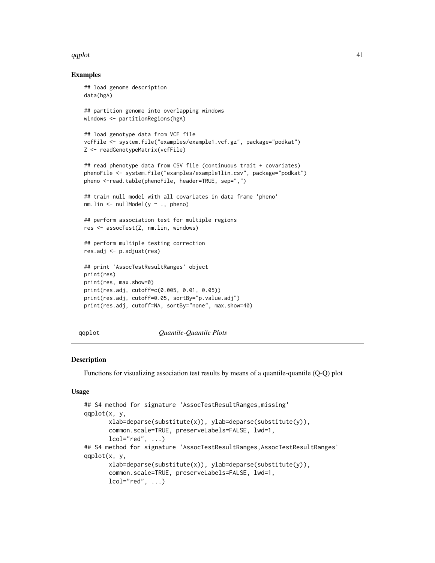# <span id="page-40-0"></span> $qqplot$  41

# Examples

```
## load genome description
data(hgA)
## partition genome into overlapping windows
windows <- partitionRegions(hgA)
## load genotype data from VCF file
vcfFile <- system.file("examples/example1.vcf.gz", package="podkat")
Z <- readGenotypeMatrix(vcfFile)
## read phenotype data from CSV file (continuous trait + covariates)
phenoFile <- system.file("examples/example1lin.csv", package="podkat")
pheno <-read.table(phenoFile, header=TRUE, sep=",")
## train null model with all covariates in data frame 'pheno'
nm.lin \le nullModel(y \sim ., pheno)
## perform association test for multiple regions
res <- assocTest(Z, nm.lin, windows)
## perform multiple testing correction
res.adj <- p.adjust(res)
## print 'AssocTestResultRanges' object
print(res)
print(res, max.show=0)
print(res.adj, cutoff=c(0.005, 0.01, 0.05))
print(res.adj, cutoff=0.05, sortBy="p.value.adj")
print(res.adj, cutoff=NA, sortBy="none", max.show=40)
```
qqplot *Quantile-Quantile Plots*

# Description

Functions for visualizing association test results by means of a quantile-quantile (Q-Q) plot

# Usage

```
## S4 method for signature 'AssocTestResultRanges,missing'
qqplot(x, y,
       xlab=deparse(substitute(x)), ylab=deparse(substitute(y)),
      common.scale=TRUE, preserveLabels=FALSE, lwd=1,
      lcol="red", ...,## S4 method for signature 'AssocTestResultRanges, AssocTestResultRanges'
qqplot(x, y,
      xlab=deparse(substitute(x)), ylab=deparse(substitute(y)),
      common.scale=TRUE, preserveLabels=FALSE, lwd=1,
      lcol="red", ...)
```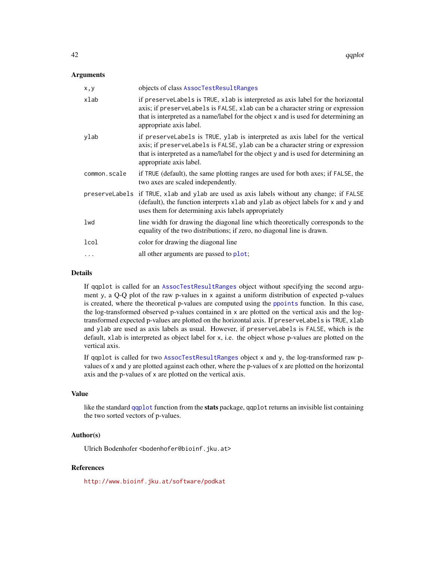# <span id="page-41-0"></span>Arguments

| x, y         | objects of class AssocTestResultRanges                                                                                                                                                                                                                                              |
|--------------|-------------------------------------------------------------------------------------------------------------------------------------------------------------------------------------------------------------------------------------------------------------------------------------|
| xlab         | if preserveLabels is TRUE, xlab is interpreted as axis label for the horizontal<br>axis; if preserveLabels is FALSE, xlab can be a character string or expression<br>that is interpreted as a name/label for the object x and is used for determining an<br>appropriate axis label. |
| ylab         | if preservelabels is TRUE, ylab is interpreted as axis label for the vertical<br>axis; if preserveLabels is FALSE, ylab can be a character string or expression<br>that is interpreted as a name/label for the object y and is used for determining an<br>appropriate axis label.   |
| common.scale | if TRUE (default), the same plotting ranges are used for both axes; if FALSE, the<br>two axes are scaled independently.                                                                                                                                                             |
|              | preserveLabels if TRUE, xlab and ylab are used as axis labels without any change; if FALSE<br>(default), the function interprets xlab and ylab as object labels for x and y and<br>uses them for determining axis labels appropriately                                              |
| lwd          | line width for drawing the diagonal line which theoretically corresponds to the<br>equality of the two distributions; if zero, no diagonal line is drawn.                                                                                                                           |
| lcol         | color for drawing the diagonal line                                                                                                                                                                                                                                                 |
| $\ddots$     | all other arguments are passed to plot;                                                                                                                                                                                                                                             |
|              |                                                                                                                                                                                                                                                                                     |

# Details

If qqplot is called for an [AssocTestResultRanges](#page-10-1) object without specifying the second argument y, a Q-Q plot of the raw p-values in x against a uniform distribution of expected p-values is created, where the theoretical p-values are computed using the [ppoints](#page-0-0) function. In this case, the log-transformed observed p-values contained in x are plotted on the vertical axis and the logtransformed expected p-values are plotted on the horizontal axis. If preserveLabels is TRUE, xlab and ylab are used as axis labels as usual. However, if preserveLabels is FALSE, which is the default, xlab is interpreted as object label for x, i.e. the object whose p-values are plotted on the vertical axis.

If qqplot is called for two [AssocTestResultRanges](#page-10-1) object x and y, the log-transformed raw pvalues of x and y are plotted against each other, where the p-values of x are plotted on the horizontal axis and the p-values of x are plotted on the vertical axis.

#### Value

like the standard [qqplot](#page-40-1) function from the **stats** package, qqplot returns an invisible list containing the two sorted vectors of p-values.

# Author(s)

Ulrich Bodenhofer <bodenhofer@bioinf.jku.at>

# References

<http://www.bioinf.jku.at/software/podkat>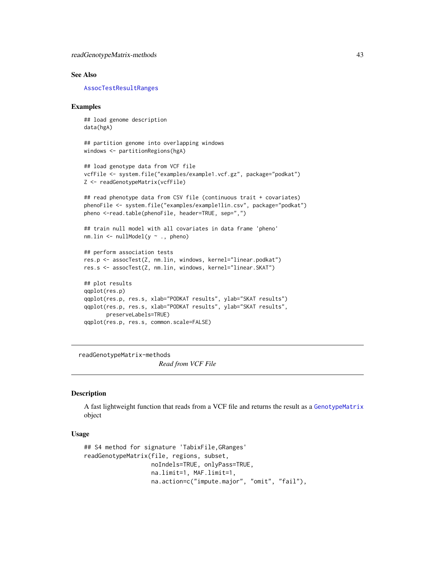# <span id="page-42-0"></span>See Also

[AssocTestResultRanges](#page-10-1)

# Examples

```
## load genome description
data(hgA)
```

```
## partition genome into overlapping windows
windows <- partitionRegions(hgA)
```

```
## load genotype data from VCF file
vcfFile <- system.file("examples/example1.vcf.gz", package="podkat")
Z <- readGenotypeMatrix(vcfFile)
```

```
## read phenotype data from CSV file (continuous trait + covariates)
phenoFile <- system.file("examples/example1lin.csv", package="podkat")
pheno <-read.table(phenoFile, header=TRUE, sep=",")
```

```
## train null model with all covariates in data frame 'pheno'
nm.lin \le nullModel(y \sim ., pheno)
```

```
## perform association tests
res.p <- assocTest(Z, nm.lin, windows, kernel="linear.podkat")
res.s <- assocTest(Z, nm.lin, windows, kernel="linear.SKAT")
```

```
## plot results
qqplot(res.p)
qqplot(res.p, res.s, xlab="PODKAT results", ylab="SKAT results")
qqplot(res.p, res.s, xlab="PODKAT results", ylab="SKAT results",
      preserveLabels=TRUE)
qqplot(res.p, res.s, common.scale=FALSE)
```
readGenotypeMatrix-methods

*Read from VCF File*

# <span id="page-42-1"></span>Description

A fast lightweight function that reads from a VCF file and returns the result as a [GenotypeMatrix](#page-17-1) object

#### Usage

```
## S4 method for signature 'TabixFile,GRanges'
readGenotypeMatrix(file, regions, subset,
                   noIndels=TRUE, onlyPass=TRUE,
                   na.limit=1, MAF.limit=1,
                   na.action=c("impute.major", "omit", "fail"),
```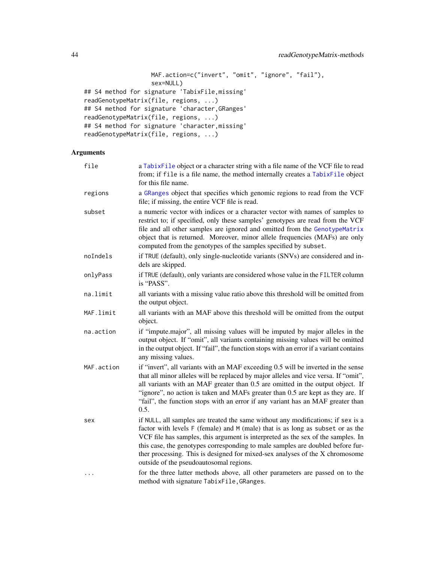```
MAF.action=c("invert", "omit", "ignore", "fail"),
                   sex=NULL)
## S4 method for signature 'TabixFile,missing'
readGenotypeMatrix(file, regions, ...)
## S4 method for signature 'character,GRanges'
readGenotypeMatrix(file, regions, ...)
## S4 method for signature 'character,missing'
readGenotypeMatrix(file, regions, ...)
```
# Arguments

| file       | a TabixFile object or a character string with a file name of the VCF file to read<br>from; if file is a file name, the method internally creates a TabixFile object<br>for this file name.                                                                                                                                                                                                                                                                          |  |
|------------|---------------------------------------------------------------------------------------------------------------------------------------------------------------------------------------------------------------------------------------------------------------------------------------------------------------------------------------------------------------------------------------------------------------------------------------------------------------------|--|
| regions    | a GRanges object that specifies which genomic regions to read from the VCF<br>file; if missing, the entire VCF file is read.                                                                                                                                                                                                                                                                                                                                        |  |
| subset     | a numeric vector with indices or a character vector with names of samples to<br>restrict to; if specified, only these samples' genotypes are read from the VCF<br>file and all other samples are ignored and omitted from the GenotypeMatrix<br>object that is returned. Moreover, minor allele frequencies (MAFs) are only<br>computed from the genotypes of the samples specified by subset.                                                                      |  |
| noIndels   | if TRUE (default), only single-nucleotide variants (SNVs) are considered and in-<br>dels are skipped.                                                                                                                                                                                                                                                                                                                                                               |  |
| onlyPass   | if TRUE (default), only variants are considered whose value in the FILTER column<br>is "PASS".                                                                                                                                                                                                                                                                                                                                                                      |  |
| na.limit   | all variants with a missing value ratio above this threshold will be omitted from<br>the output object.                                                                                                                                                                                                                                                                                                                                                             |  |
| MAF.limit  | all variants with an MAF above this threshold will be omitted from the output<br>object.                                                                                                                                                                                                                                                                                                                                                                            |  |
| na.action  | if "impute.major", all missing values will be imputed by major alleles in the<br>output object. If "omit", all variants containing missing values will be omitted<br>in the output object. If "fail", the function stops with an error if a variant contains<br>any missing values.                                                                                                                                                                                 |  |
| MAF.action | if "invert", all variants with an MAF exceeding 0.5 will be inverted in the sense<br>that all minor alleles will be replaced by major alleles and vice versa. If "omit",<br>all variants with an MAF greater than 0.5 are omitted in the output object. If<br>"ignore", no action is taken and MAFs greater than 0.5 are kept as they are. If<br>"fail", the function stops with an error if any variant has an MAF greater than<br>0.5.                            |  |
| sex        | if NULL, all samples are treated the same without any modifications; if sex is a<br>factor with levels F (female) and M (male) that is as long as subset or as the<br>VCF file has samples, this argument is interpreted as the sex of the samples. In<br>this case, the genotypes corresponding to male samples are doubled before fur-<br>ther processing. This is designed for mixed-sex analyses of the X chromosome<br>outside of the pseudoautosomal regions. |  |
|            | for the three latter methods above, all other parameters are passed on to the<br>method with signature TabixFile, GRanges.                                                                                                                                                                                                                                                                                                                                          |  |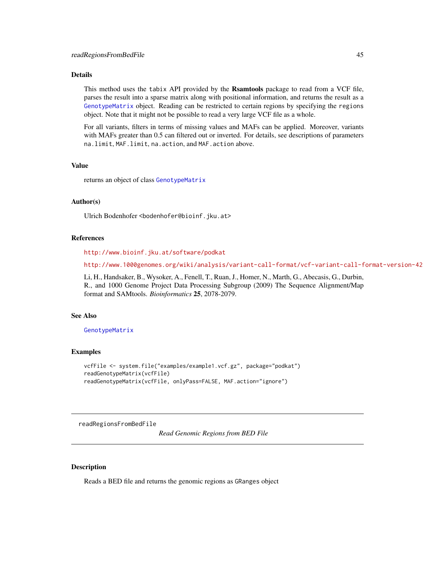#### <span id="page-44-0"></span>Details

This method uses the tabix API provided by the Rsamtools package to read from a VCF file, parses the result into a sparse matrix along with positional information, and returns the result as a [GenotypeMatrix](#page-17-1) object. Reading can be restricted to certain regions by specifying the regions object. Note that it might not be possible to read a very large VCF file as a whole.

For all variants, filters in terms of missing values and MAFs can be applied. Moreover, variants with MAFs greater than 0.5 can filtered out or inverted. For details, see descriptions of parameters na.limit, MAF.limit, na.action, and MAF.action above.

# Value

returns an object of class [GenotypeMatrix](#page-17-1)

# Author(s)

Ulrich Bodenhofer <bodenhofer@bioinf.jku.at>

# References

<http://www.bioinf.jku.at/software/podkat>

<http://www.1000genomes.org/wiki/analysis/variant-call-format/vcf-variant-call-format-version-42>

Li, H., Handsaker, B., Wysoker, A., Fenell, T., Ruan, J., Homer, N., Marth, G., Abecasis, G., Durbin, R., and 1000 Genome Project Data Processing Subgroup (2009) The Sequence Alignment/Map format and SAMtools. *Bioinformatics* 25, 2078-2079.

# See Also

#### [GenotypeMatrix](#page-17-1)

# Examples

```
vcfFile <- system.file("examples/example1.vcf.gz", package="podkat")
readGenotypeMatrix(vcfFile)
readGenotypeMatrix(vcfFile, onlyPass=FALSE, MAF.action="ignore")
```
readRegionsFromBedFile

*Read Genomic Regions from BED File*

# Description

Reads a BED file and returns the genomic regions as GRanges object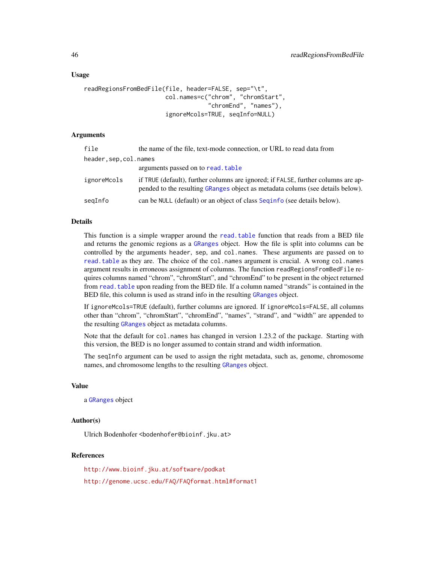# <span id="page-45-0"></span>Usage

```
readRegionsFromBedFile(file, header=FALSE, sep="\t",
                       col.names=c("chrom", "chromStart",
                                   "chromEnd", "names"),
                       ignoreMcols=TRUE, seqInfo=NULL)
```
#### Arguments

| file                 | the name of the file, text-mode connection, or URL to read data from                                                                                                |  |
|----------------------|---------------------------------------------------------------------------------------------------------------------------------------------------------------------|--|
| header,sep,col.names |                                                                                                                                                                     |  |
|                      | arguments passed on to read. table                                                                                                                                  |  |
| ignoreMcols          | if TRUE (default), further columns are ignored; if FALSE, further columns are ap-<br>pended to the resulting GRanges object as metadata colums (see details below). |  |
| segInfo              | can be NULL (default) or an object of class Seginfo (see details below).                                                                                            |  |

# Details

This function is a simple wrapper around the [read.table](#page-0-0) function that reads from a BED file and returns the genomic regions as a [GRanges](#page-0-0) object. How the file is split into columns can be controlled by the arguments header, sep, and col.names. These arguments are passed on to [read.table](#page-0-0) as they are. The choice of the col.names argument is crucial. A wrong col.names argument results in erroneous assignment of columns. The function readRegionsFromBedFile requires columns named "chrom", "chromStart", and "chromEnd" to be present in the object returned from read. table upon reading from the BED file. If a column named "strands" is contained in the BED file, this column is used as strand info in the resulting [GRanges](#page-0-0) object.

If ignoreMcols=TRUE (default), further columns are ignored. If ignoreMcols=FALSE, all columns other than "chrom", "chromStart", "chromEnd", "names", "strand", and "width" are appended to the resulting [GRanges](#page-0-0) object as metadata columns.

Note that the default for col.names has changed in version 1.23.2 of the package. Starting with this version, the BED is no longer assumed to contain strand and width information.

The seqInfo argument can be used to assign the right metadata, such as, genome, chromosome names, and chromosome lengths to the resulting [GRanges](#page-0-0) object.

# Value

a [GRanges](#page-0-0) object

# Author(s)

Ulrich Bodenhofer <bodenhofer@bioinf.jku.at>

# References

<http://www.bioinf.jku.at/software/podkat> <http://genome.ucsc.edu/FAQ/FAQformat.html#format1>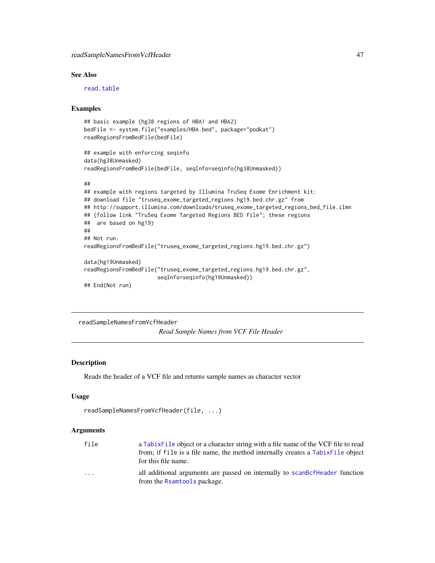# <span id="page-46-0"></span>readSampleNamesFromVcfHeader 47

# See Also

[read.table](#page-0-0)

# Examples

```
## basic example (hg38 regions of HBA1 and HBA2)
bedFile <- system.file("examples/HBA.bed", package="podkat")
readRegionsFromBedFile(bedFile)
## example with enforcing seqinfo
data(hg38Unmasked)
readRegionsFromBedFile(bedFile, seqInfo=seqinfo(hg38Unmasked))
##
## example with regions targeted by Illumina TruSeq Exome Enrichment kit:
## download file "truseq_exome_targeted_regions.hg19.bed.chr.gz" from
## http://support.illumina.com/downloads/truseq_exome_targeted_regions_bed_file.ilmn
## (follow link "TruSeq Exome Targeted Regions BED file"; these regions
## are based on hg19)
##
## Not run:
readRegionsFromBedFile("truseq_exome_targeted_regions.hg19.bed.chr.gz")
data(hg19Unmasked)
readRegionsFromBedFile("truseq_exome_targeted_regions.hg19.bed.chr.gz",
                       seqInfo=seqinfo(hg19Unmasked))
## End(Not run)
```

```
readSampleNamesFromVcfHeader
```
# *Read Sample Names from VCF File Header*

# Description

Reads the header of a VCF file and returns sample names as character vector

# Usage

```
readSampleNamesFromVcfHeader(file, ...)
```
# Arguments

| file                    | a TabixFile object or a character string with a file name of the VCF file to read<br>from; if file is a file name, the method internally creates a TabixFile object<br>for this file name. |
|-------------------------|--------------------------------------------------------------------------------------------------------------------------------------------------------------------------------------------|
| $\cdot$ $\cdot$ $\cdot$ | all additional arguments are passed on internally to scander fleader function<br>from the Rsamtools package.                                                                               |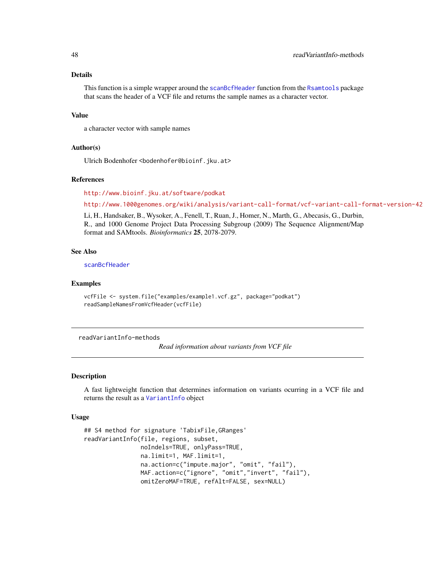# Details

This function is a simple wrapper around the [scanBcfHeader](#page-0-0) function from the [Rsamtools](#page-0-0) package that scans the header of a VCF file and returns the sample names as a character vector.

# Value

a character vector with sample names

# Author(s)

Ulrich Bodenhofer <bodenhofer@bioinf.jku.at>

# References

<http://www.bioinf.jku.at/software/podkat>

<http://www.1000genomes.org/wiki/analysis/variant-call-format/vcf-variant-call-format-version-42>

Li, H., Handsaker, B., Wysoker, A., Fenell, T., Ruan, J., Homer, N., Marth, G., Abecasis, G., Durbin, R., and 1000 Genome Project Data Processing Subgroup (2009) The Sequence Alignment/Map format and SAMtools. *Bioinformatics* 25, 2078-2079.

# See Also

[scanBcfHeader](#page-0-0)

#### Examples

```
vcfFile <- system.file("examples/example1.vcf.gz", package="podkat")
readSampleNamesFromVcfHeader(vcfFile)
```
readVariantInfo-methods

*Read information about variants from VCF file*

# <span id="page-47-1"></span>Description

A fast lightweight function that determines information on variants ocurring in a VCF file and returns the result as a [VariantInfo](#page-56-1) object

# Usage

```
## S4 method for signature 'TabixFile,GRanges'
readVariantInfo(file, regions, subset,
                noIndels=TRUE, onlyPass=TRUE,
                na.limit=1, MAF.limit=1,
                na.action=c("impute.major", "omit", "fail"),
                MAF.action=c("ignore", "omit","invert", "fail"),
                omitZeroMAF=TRUE, refAlt=FALSE, sex=NULL)
```
<span id="page-47-0"></span>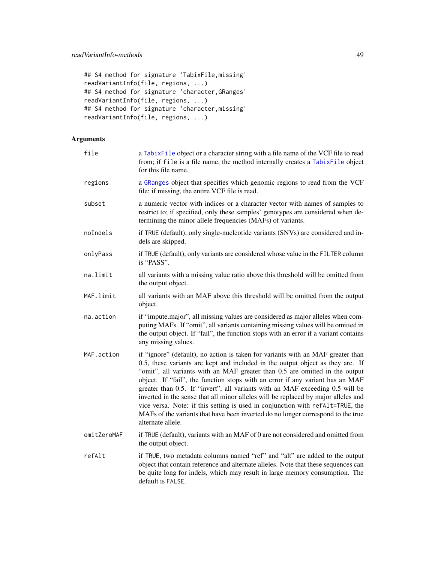```
## S4 method for signature 'TabixFile,missing'
readVariantInfo(file, regions, ...)
## S4 method for signature 'character,GRanges'
readVariantInfo(file, regions, ...)
## S4 method for signature 'character,missing'
readVariantInfo(file, regions, ...)
```
# Arguments

| file        | a TabixFile object or a character string with a file name of the VCF file to read<br>from; if file is a file name, the method internally creates a TabixFile object<br>for this file name.                                                                                                                                                                                                                                                                                                                                                                                                                                                                                                          |  |
|-------------|-----------------------------------------------------------------------------------------------------------------------------------------------------------------------------------------------------------------------------------------------------------------------------------------------------------------------------------------------------------------------------------------------------------------------------------------------------------------------------------------------------------------------------------------------------------------------------------------------------------------------------------------------------------------------------------------------------|--|
| regions     | a GRanges object that specifies which genomic regions to read from the VCF<br>file; if missing, the entire VCF file is read.                                                                                                                                                                                                                                                                                                                                                                                                                                                                                                                                                                        |  |
| subset      | a numeric vector with indices or a character vector with names of samples to<br>restrict to; if specified, only these samples' genotypes are considered when de-<br>termining the minor allele frequencies (MAFs) of variants.                                                                                                                                                                                                                                                                                                                                                                                                                                                                      |  |
| noIndels    | if TRUE (default), only single-nucleotide variants (SNVs) are considered and in-<br>dels are skipped.                                                                                                                                                                                                                                                                                                                                                                                                                                                                                                                                                                                               |  |
| onlyPass    | if TRUE (default), only variants are considered whose value in the FILTER column<br>is "PASS".                                                                                                                                                                                                                                                                                                                                                                                                                                                                                                                                                                                                      |  |
| na.limit    | all variants with a missing value ratio above this threshold will be omitted from<br>the output object.                                                                                                                                                                                                                                                                                                                                                                                                                                                                                                                                                                                             |  |
| MAF.limit   | all variants with an MAF above this threshold will be omitted from the output<br>object.                                                                                                                                                                                                                                                                                                                                                                                                                                                                                                                                                                                                            |  |
| na.action   | if "impute.major", all missing values are considered as major alleles when com-<br>puting MAFs. If "omit", all variants containing missing values will be omitted in<br>the output object. If "fail", the function stops with an error if a variant contains<br>any missing values.                                                                                                                                                                                                                                                                                                                                                                                                                 |  |
| MAF.action  | if "ignore" (default), no action is taken for variants with an MAF greater than<br>0.5, these variants are kept and included in the output object as they are. If<br>"omit", all variants with an MAF greater than 0.5 are omitted in the output<br>object. If "fail", the function stops with an error if any variant has an MAF<br>greater than 0.5. If "invert", all variants with an MAF exceeding 0.5 will be<br>inverted in the sense that all minor alleles will be replaced by major alleles and<br>vice versa. Note: if this setting is used in conjunction with refAlt=TRUE, the<br>MAFs of the variants that have been inverted do no longer correspond to the true<br>alternate allele. |  |
| omitZeroMAF | if TRUE (default), variants with an MAF of 0 are not considered and omitted from<br>the output object.                                                                                                                                                                                                                                                                                                                                                                                                                                                                                                                                                                                              |  |
| refAlt      | if TRUE, two metadata columns named "ref" and "alt" are added to the output<br>object that contain reference and alternate alleles. Note that these sequences can<br>be quite long for indels, which may result in large memory consumption. The<br>default is FALSE.                                                                                                                                                                                                                                                                                                                                                                                                                               |  |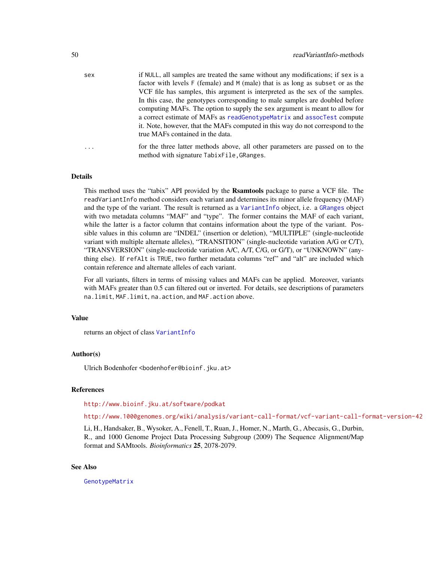<span id="page-49-0"></span>

| sex | if NULL, all samples are treated the same without any modifications; if sex is a |
|-----|----------------------------------------------------------------------------------|
|     | factor with levels F (female) and M (male) that is as long as subset or as the   |
|     | VCF file has samples, this argument is interpreted as the sex of the samples.    |
|     | In this case, the genotypes corresponding to male samples are doubled before     |
|     | computing MAFs. The option to supply the sex argument is meant to allow for      |
|     | a correct estimate of MAFs as read Genotype Matrix and assoctest compute         |
|     | it. Note, however, that the MAFs computed in this way do not correspond to the   |
|     | true MAFs contained in the data.                                                 |
|     | for the three letter methods above all other perspecters are passed on to the    |

# ... for the three latter methods above, all other parameters are passed on to the method with signature TabixFile,GRanges.

#### Details

This method uses the "tabix" API provided by the Rsamtools package to parse a VCF file. The readVariantInfo method considers each variant and determines its minor allele frequency (MAF) and the type of the variant. The result is returned as a [VariantInfo](#page-56-1) object, i.e. a [GRanges](#page-0-0) object with two metadata columns "MAF" and "type". The former contains the MAF of each variant, while the latter is a factor column that contains information about the type of the variant. Possible values in this column are "INDEL" (insertion or deletion), "MULTIPLE" (single-nucleotide variant with multiple alternate alleles), "TRANSITION" (single-nucleotide variation A/G or C/T), "TRANSVERSION" (single-nucleotide variation A/C, A/T, C/G, or G/T), or "UNKNOWN" (anything else). If refAlt is TRUE, two further metadata columns "ref" and "alt" are included which contain reference and alternate alleles of each variant.

For all variants, filters in terms of missing values and MAFs can be applied. Moreover, variants with MAFs greater than 0.5 can filtered out or inverted. For details, see descriptions of parameters na.limit, MAF.limit, na.action, and MAF.action above.

#### Value

returns an object of class [VariantInfo](#page-56-1)

#### Author(s)

Ulrich Bodenhofer <bodenhofer@bioinf.jku.at>

#### References

<http://www.bioinf.jku.at/software/podkat>

<http://www.1000genomes.org/wiki/analysis/variant-call-format/vcf-variant-call-format-version-42>

Li, H., Handsaker, B., Wysoker, A., Fenell, T., Ruan, J., Homer, N., Marth, G., Abecasis, G., Durbin, R., and 1000 Genome Project Data Processing Subgroup (2009) The Sequence Alignment/Map format and SAMtools. *Bioinformatics* 25, 2078-2079.

#### See Also

[GenotypeMatrix](#page-17-1)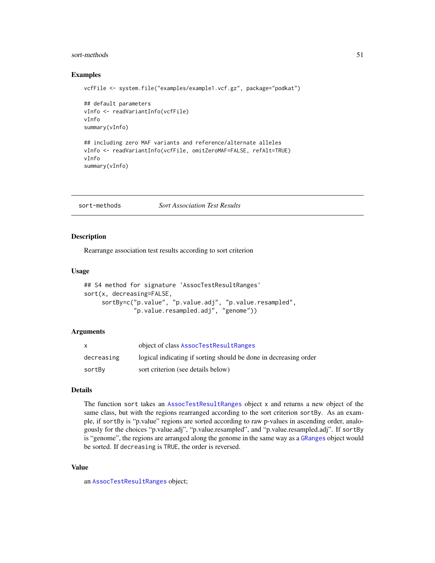#### <span id="page-50-0"></span>sort-methods 51

# Examples

```
vcfFile <- system.file("examples/example1.vcf.gz", package="podkat")
## default parameters
vInfo <- readVariantInfo(vcfFile)
vInfo
summary(vInfo)
## including zero MAF variants and reference/alternate alleles
vInfo <- readVariantInfo(vcfFile, omitZeroMAF=FALSE, refAlt=TRUE)
vInfo
```

```
summary(vInfo)
```
sort-methods *Sort Association Test Results*

# <span id="page-50-1"></span>Description

Rearrange association test results according to sort criterion

#### Usage

```
## S4 method for signature 'AssocTestResultRanges'
sort(x, decreasing=FALSE,
     sortBy=c("p.value", "p.value.adj", "p.value.resampled",
              "p.value.resampled.adj", "genome"))
```
# Arguments

|            | object of class AssocTestResultRanges                            |
|------------|------------------------------------------------------------------|
| decreasing | logical indicating if sorting should be done in decreasing order |
| sortBy     | sort criterion (see details below)                               |

# Details

The function sort takes an [AssocTestResultRanges](#page-10-1) object x and returns a new object of the same class, but with the regions rearranged according to the sort criterion sortBy. As an example, if sortBy is "p.value" regions are sorted according to raw p-values in ascending order, analogously for the choices "p.value.adj", "p.value.resampled", and "p.value.resampled.adj". If sortBy is "genome", the regions are arranged along the genome in the same way as a [GRanges](#page-0-0) object would be sorted. If decreasing is TRUE, the order is reversed.

# Value

an [AssocTestResultRanges](#page-10-1) object;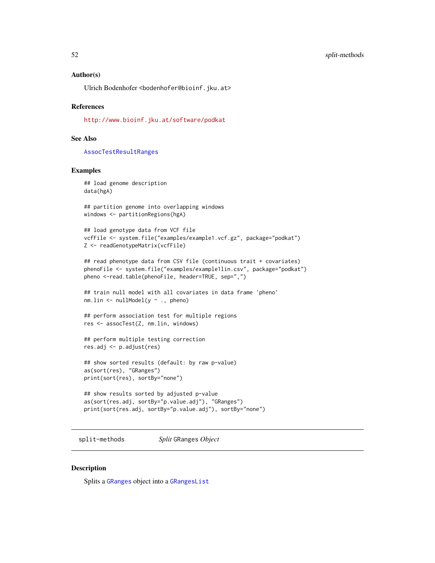# <span id="page-51-0"></span>Author(s)

Ulrich Bodenhofer <br/>bodenhofer@bioinf.jku.at>

# References

<http://www.bioinf.jku.at/software/podkat>

# See Also

[AssocTestResultRanges](#page-10-1)

# Examples

```
## load genome description
data(hgA)
```

```
## partition genome into overlapping windows
windows <- partitionRegions(hgA)
```

```
## load genotype data from VCF file
vcfFile <- system.file("examples/example1.vcf.gz", package="podkat")
Z <- readGenotypeMatrix(vcfFile)
```

```
## read phenotype data from CSV file (continuous trait + covariates)
phenoFile <- system.file("examples/example1lin.csv", package="podkat")
pheno <-read.table(phenoFile, header=TRUE, sep=",")
```

```
## train null model with all covariates in data frame 'pheno'
nm.lin <- nullModel(y ~ ., pheno)
```

```
## perform association test for multiple regions
res <- assocTest(Z, nm.lin, windows)
```

```
## perform multiple testing correction
res.adj <- p.adjust(res)
```

```
## show sorted results (default: by raw p-value)
as(sort(res), "GRanges")
print(sort(res), sortBy="none")
```

```
## show results sorted by adjusted p-value
as(sort(res.adj, sortBy="p.value.adj"), "GRanges")
print(sort(res.adj, sortBy="p.value.adj"), sortBy="none")
```
split-methods *Split* GRanges *Object*

# Description

Splits a [GRanges](#page-0-0) object into a [GRangesList](#page-0-0)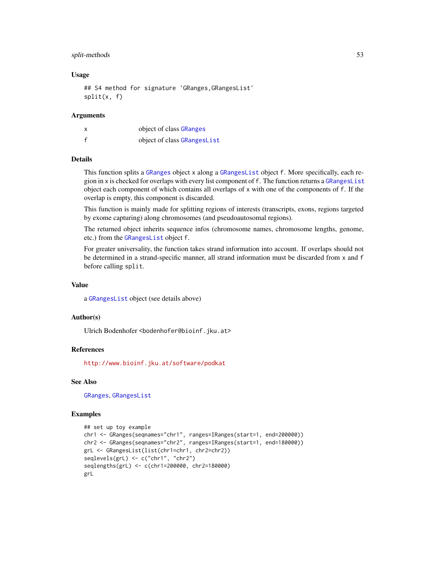# <span id="page-52-0"></span>split-methods 53

# Usage

```
## S4 method for signature 'GRanges,GRangesList'
split(x, f)
```
# Arguments

|   | object of class GRanges     |
|---|-----------------------------|
| f | object of class GRangesList |

# Details

This function splits a [GRanges](#page-0-0) object x along a [GRangesList](#page-0-0) object f. More specifically, each region in x is checked for overlaps with every list component of f. The function returns a [GRangesList](#page-0-0) object each component of which contains all overlaps of x with one of the components of f. If the overlap is empty, this component is discarded.

This function is mainly made for splitting regions of interests (transcripts, exons, regions targeted by exome capturing) along chromosomes (and pseudoautosomal regions).

The returned object inherits sequence infos (chromosome names, chromosome lengths, genome, etc.) from the [GRangesList](#page-0-0) object f.

For greater universality, the function takes strand information into account. If overlaps should not be determined in a strand-specific manner, all strand information must be discarded from x and f before calling split.

# Value

a [GRangesList](#page-0-0) object (see details above)

# Author(s)

Ulrich Bodenhofer <bodenhofer@bioinf.jku.at>

# References

<http://www.bioinf.jku.at/software/podkat>

# See Also

[GRanges](#page-0-0), [GRangesList](#page-0-0)

# Examples

```
## set up toy example
chr1 <- GRanges(seqnames="chr1", ranges=IRanges(start=1, end=200000))
chr2 <- GRanges(seqnames="chr2", ranges=IRanges(start=1, end=180000))
grL <- GRangesList(list(chr1=chr1, chr2=chr2))
seqlevels(grL) <- c("chr1", "chr2")
seqlengths(grL) <- c(chr1=200000, chr2=180000)
grL
```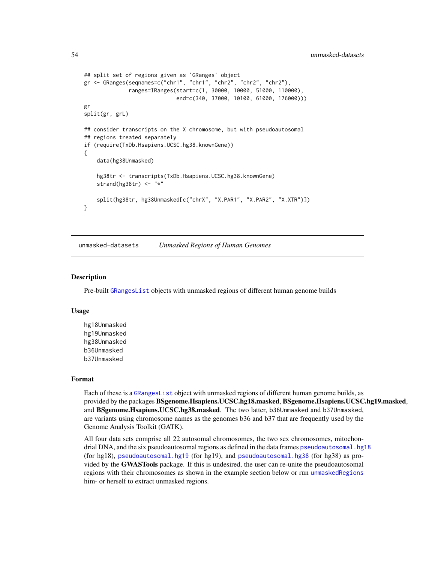```
## split set of regions given as 'GRanges' object
gr <- GRanges(seqnames=c("chr1", "chr1", "chr2", "chr2", "chr2"),
              ranges=IRanges(start=c(1, 30000, 10000, 51000, 110000),
                             end=c(340, 37000, 10100, 61000, 176000)))
gr
split(gr, grL)
## consider transcripts on the X chromosome, but with pseudoautosomal
## regions treated separately
if (require(TxDb.Hsapiens.UCSC.hg38.knownGene))
{
    data(hg38Unmasked)
    hg38tr <- transcripts(TxDb.Hsapiens.UCSC.hg38.knownGene)
    strand(hg38tr) \leq - "*"
    split(hg38tr, hg38Unmasked[c("chrX", "X.PAR1", "X.PAR2", "X.XTR")])
}
```
<span id="page-53-1"></span>unmasked-datasets *Unmasked Regions of Human Genomes*

# **Description**

Pre-built [GRangesList](#page-0-0) objects with unmasked regions of different human genome builds

#### Usage

hg18Unmasked hg19Unmasked hg38Unmasked b36Unmasked b37Unmasked

# Format

Each of these is a [GRangesList](#page-0-0) object with unmasked regions of different human genome builds, as provided by the packages BSgenome.Hsapiens.UCSC.hg18.masked, BSgenome.Hsapiens.UCSC.hg19.masked, and BSgenome.Hsapiens.UCSC.hg38.masked. The two latter, b36Unmasked and b37Unmasked, are variants using chromosome names as the genomes b36 and b37 that are frequently used by the Genome Analysis Toolkit (GATK).

All four data sets comprise all 22 autosomal chromosomes, the two sex chromosomes, mitochondrial DNA, and the six pseudoautosomal regions as defined in the data frames [pseudoautosomal.hg18](#page-0-0) (for hg18), [pseudoautosomal.hg19](#page-0-0) (for hg19), and [pseudoautosomal.hg38](#page-0-0) (for hg38) as provided by the GWASTools package. If this is undesired, the user can re-unite the pseudoautosomal regions with their chromosomes as shown in the example section below or run [unmaskedRegions](#page-54-1) him- or herself to extract unmasked regions.

<span id="page-53-0"></span>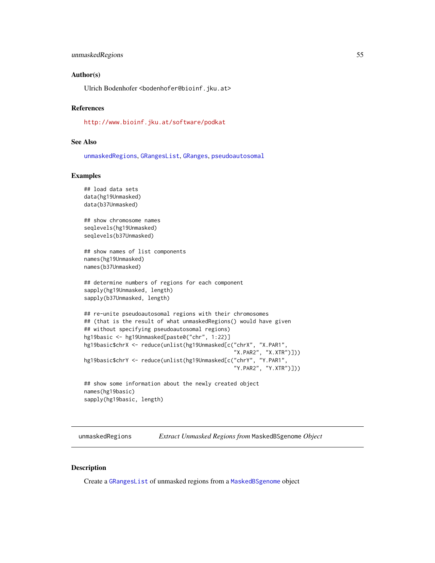# <span id="page-54-0"></span>unmaskedRegions 55

# Author(s)

Ulrich Bodenhofer <bodenhofer@bioinf.jku.at>

#### References

<http://www.bioinf.jku.at/software/podkat>

#### See Also

[unmaskedRegions](#page-54-1), [GRangesList](#page-0-0), [GRanges](#page-0-0), [pseudoautosomal](#page-0-0)

# Examples

## load data sets

```
data(hg19Unmasked)
data(b37Unmasked)
## show chromosome names
seqlevels(hg19Unmasked)
seqlevels(b37Unmasked)
## show names of list components
names(hg19Unmasked)
names(b37Unmasked)
## determine numbers of regions for each component
sapply(hg19Unmasked, length)
sapply(b37Unmasked, length)
## re-unite pseudoautosomal regions with their chromosomes
## (that is the result of what unmaskedRegions() would have given
## without specifying pseudoautosomal regions)
hg19basic <- hg19Unmasked[paste0("chr", 1:22)]
hg19basic$chrX <- reduce(unlist(hg19Unmasked[c("chrX", "X.PAR1",
                                                "X.PAR2", "X.XTR")]))
hg19basic$chrY <- reduce(unlist(hg19Unmasked[c("chrY", "Y.PAR1",
                                                "Y.PAR2", "Y.XTR")]))
## show some information about the newly created object
names(hg19basic)
sapply(hg19basic, length)
```
<span id="page-54-1"></span>unmaskedRegions *Extract Unmasked Regions from* MaskedBSgenome *Object*

#### Description

Create a [GRangesList](#page-0-0) of unmasked regions from a [MaskedBSgenome](#page-0-0) object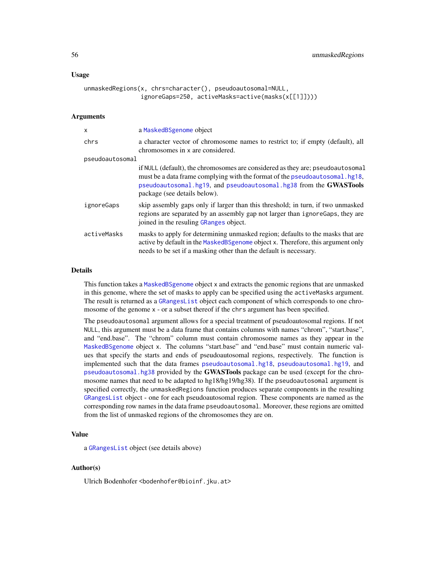# <span id="page-55-0"></span>Usage

```
unmaskedRegions(x, chrs=character(), pseudoautosomal=NULL,
                ignoreGaps=250, activeMasks=active(masks(x[[1]])))
```
# Arguments

| X               | a MaskedBSgenome object                                                                                                                                                                                                                                            |
|-----------------|--------------------------------------------------------------------------------------------------------------------------------------------------------------------------------------------------------------------------------------------------------------------|
| chrs            | a character vector of chromosome names to restrict to; if empty (default), all<br>chromosomes in x are considered.                                                                                                                                                 |
| pseudoautosomal |                                                                                                                                                                                                                                                                    |
|                 | if NULL (default), the chromosomes are considered as they are; pseudoautosomal<br>must be a data frame complying with the format of the pseudoautosomal.hg18,<br>pseudoautosomal.hg19, and pseudoautosomal.hg38 from the GWASTools<br>package (see details below). |
| ignoreGaps      | skip assembly gaps only if larger than this threshold; in turn, if two unmasked<br>regions are separated by an assembly gap not larger than ignore Gaps, they are<br>joined in the resuling GRanges object.                                                        |
| activeMasks     | masks to apply for determining unmasked region; defaults to the masks that are<br>active by default in the MaskedBSgenome object x. Therefore, this argument only<br>needs to be set if a masking other than the default is necessary.                             |

# Details

This function takes a [MaskedBSgenome](#page-0-0) object x and extracts the genomic regions that are unmasked in this genome, where the set of masks to apply can be specified using the activeMasks argument. The result is returned as a [GRangesList](#page-0-0) object each component of which corresponds to one chromosome of the genome x - or a subset thereof if the chrs argument has been specified.

The pseudoautosomal argument allows for a special treatment of pseudoautosomal regions. If not NULL, this argument must be a data frame that contains columns with names "chrom", "start.base", and "end.base". The "chrom" column must contain chromosome names as they appear in the [MaskedBSgenome](#page-0-0) object x. The columns "start.base" and "end.base" must contain numeric values that specify the starts and ends of pseudoautosomal regions, respectively. The function is implemented such that the data frames [pseudoautosomal.hg18](#page-0-0), [pseudoautosomal.hg19](#page-0-0), and [pseudoautosomal.hg38](#page-0-0) provided by the GWASTools package can be used (except for the chromosome names that need to be adapted to hg18/hg19/hg38). If the pseudoautosomal argument is specified correctly, the unmaskedRegions function produces separate components in the resulting [GRangesList](#page-0-0) object - one for each pseudoautosomal region. These components are named as the corresponding row names in the data frame pseudoautosomal. Moreover, these regions are omitted from the list of unmasked regions of the chromosomes they are on.

# Value

a [GRangesList](#page-0-0) object (see details above)

# Author(s)

Ulrich Bodenhofer <bodenhofer@bioinf.jku.at>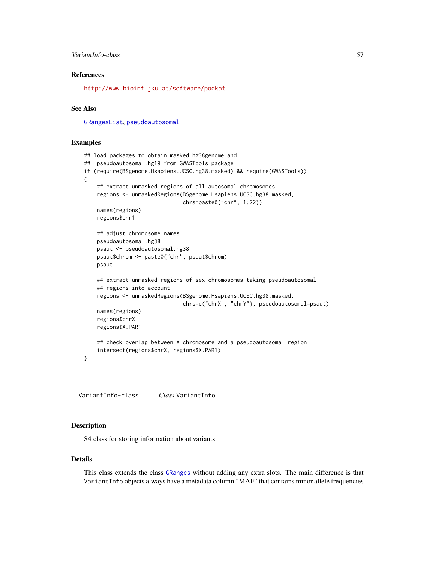# <span id="page-56-0"></span>VariantInfo-class 57

# References

<http://www.bioinf.jku.at/software/podkat>

# See Also

[GRangesList](#page-0-0), [pseudoautosomal](#page-0-0)

# Examples

```
## load packages to obtain masked hg38genome and
## pseudoautosomal.hg19 from GWASTools package
if (require(BSgenome.Hsapiens.UCSC.hg38.masked) && require(GWASTools))
{
    ## extract unmasked regions of all autosomal chromosomes
    regions <- unmaskedRegions(BSgenome.Hsapiens.UCSC.hg38.masked,
                               chrs=paste0("chr", 1:22))
    names(regions)
    regions$chr1
    ## adjust chromosome names
   pseudoautosomal.hg38
    psaut <- pseudoautosomal.hg38
   psaut$chrom <- paste0("chr", psaut$chrom)
   psaut
    ## extract unmasked regions of sex chromosomes taking pseudoautosomal
    ## regions into account
    regions <- unmaskedRegions(BSgenome.Hsapiens.UCSC.hg38.masked,
                               chrs=c("chrX", "chrY"), pseudoautosomal=psaut)
    names(regions)
    regions$chrX
    regions$X.PAR1
    ## check overlap between X chromosome and a pseudoautosomal region
    intersect(regions$chrX, regions$X.PAR1)
}
```
<span id="page-56-1"></span>VariantInfo-class *Class* VariantInfo

#### Description

S4 class for storing information about variants

#### Details

This class extends the class [GRanges](#page-0-0) without adding any extra slots. The main difference is that VariantInfo objects always have a metadata column "MAF" that contains minor allele frequencies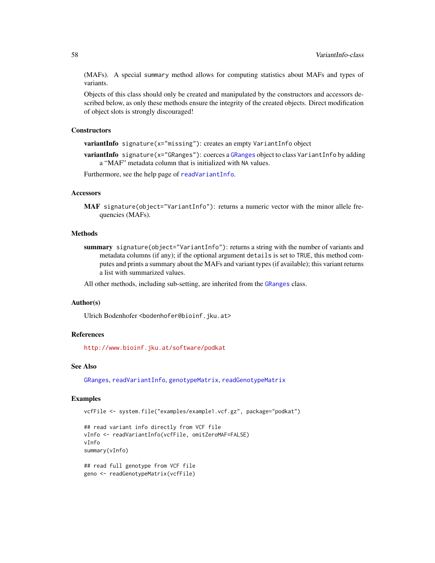(MAFs). A special summary method allows for computing statistics about MAFs and types of variants.

Objects of this class should only be created and manipulated by the constructors and accessors described below, as only these methods ensure the integrity of the created objects. Direct modification of object slots is strongly discouraged!

# **Constructors**

variantInfo signature(x="missing"): creates an empty VariantInfo object

variantInfo signature(x="[GRanges](#page-0-0)"): coerces a GRanges object to class VariantInfo by adding a "MAF" metadata column that is initialized with NA values.

Furthermore, see the help page of [readVariantInfo](#page-47-1).

# **Accessors**

MAF signature(object="VariantInfo"): returns a numeric vector with the minor allele frequencies (MAFs).

# Methods

summary signature(object="VariantInfo"): returns a string with the number of variants and metadata columns (if any); if the optional argument details is set to TRUE, this method computes and prints a summary about the MAFs and variant types (if available); this variant returns a list with summarized values.

All other methods, including sub-setting, are inherited from the [GRanges](#page-0-0) class.

# Author(s)

Ulrich Bodenhofer <bodenhofer@bioinf.jku.at>

# References

<http://www.bioinf.jku.at/software/podkat>

# See Also

[GRanges](#page-0-0), [readVariantInfo](#page-47-1), [genotypeMatrix](#page-19-1), [readGenotypeMatrix](#page-42-1)

# Examples

vcfFile <- system.file("examples/example1.vcf.gz", package="podkat")

```
## read variant info directly from VCF file
vInfo <- readVariantInfo(vcfFile, omitZeroMAF=FALSE)
vInfo
summary(vInfo)
```

```
## read full genotype from VCF file
geno <- readGenotypeMatrix(vcfFile)
```
<span id="page-57-0"></span>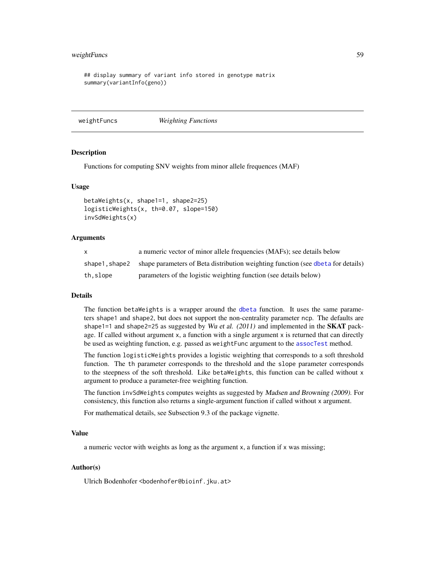# <span id="page-58-0"></span>weightFuncs 59

## display summary of variant info stored in genotype matrix summary(variantInfo(geno))

<span id="page-58-1"></span>weightFuncs *Weighting Functions*

#### Description

Functions for computing SNV weights from minor allele frequences (MAF)

# Usage

```
betaWeights(x, shape1=1, shape2=25)
logisticWeights(x, th=0.07, slope=150)
invSdWeights(x)
```
# Arguments

|               | a numeric vector of minor allele frequencies (MAFs); see details below           |
|---------------|----------------------------------------------------------------------------------|
| shape1.shape2 | shape parameters of Beta distribution weighting function (see dbeta for details) |
| th.slope      | parameters of the logistic weighting function (see details below)                |

#### Details

The function betaWeights is a wrapper around the [dbeta](#page-0-0) function. It uses the same parameters shape1 and shape2, but does not support the non-centrality parameter ncp. The defaults are shape1=1 and shape2=25 as suggested by Wu et al. (2011) and implemented in the **SKAT** package. If called without argument x, a function with a single argument x is returned that can directly be used as weighting function, e.g. passed as weightFunc argument to the [assocTest](#page-3-1) method.

The function logisticWeights provides a logistic weighting that corresponds to a soft threshold function. The th parameter corresponds to the threshold and the slope parameter corresponds to the steepness of the soft threshold. Like betaWeights, this function can be called without x argument to produce a parameter-free weighting function.

The function invSdWeights computes weights as suggested by Madsen and Browning (2009). For consistency, this function also returns a single-argument function if called without x argument.

For mathematical details, see Subsection 9.3 of the package vignette.

#### Value

a numeric vector with weights as long as the argument x, a function if x was missing;

# Author(s)

Ulrich Bodenhofer <bodenhofer@bioinf.jku.at>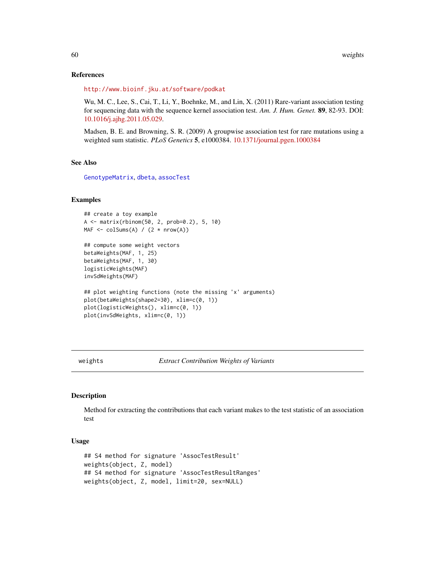# References

<http://www.bioinf.jku.at/software/podkat>

Wu, M. C., Lee, S., Cai, T., Li, Y., Boehnke, M., and Lin, X. (2011) Rare-variant association testing for sequencing data with the sequence kernel association test. *Am. J. Hum. Genet.* 89, 82-93. DOI: [10.1016/j.ajhg.2011.05.029.](http://dx.doi.org/10.1016/j.ajhg.2011.05.029)

Madsen, B. E. and Browning, S. R. (2009) A groupwise association test for rare mutations using a weighted sum statistic. *PLoS Genetics* 5, e1000384. [10.1371/journal.pgen.1000384](http://dx.doi.org/10.1371/journal.pgen.1000384)

# See Also

[GenotypeMatrix](#page-17-1), [dbeta](#page-0-0), [assocTest](#page-3-1)

# Examples

```
## create a toy example
A <- matrix(rbinom(50, 2, prob=0.2), 5, 10)
MAF \le colSums(A) / (2 \star nrow(A))
```

```
## compute some weight vectors
betaWeights(MAF, 1, 25)
betaWeights(MAF, 1, 30)
logisticWeights(MAF)
invSdWeights(MAF)
## plot weighting functions (note the missing 'x' arguments)
plot(betaWeights(shape2=30), xlim=c(0, 1))
plot(logisticWeights(), xlim=c(0, 1))
plot(invSdWeights, xlim=c(0, 1))
```
weights *Extract Contribution Weights of Variants*

# Description

Method for extracting the contributions that each variant makes to the test statistic of an association test

# Usage

```
## S4 method for signature 'AssocTestResult'
weights(object, Z, model)
## S4 method for signature 'AssocTestResultRanges'
weights(object, Z, model, limit=20, sex=NULL)
```
<span id="page-59-0"></span>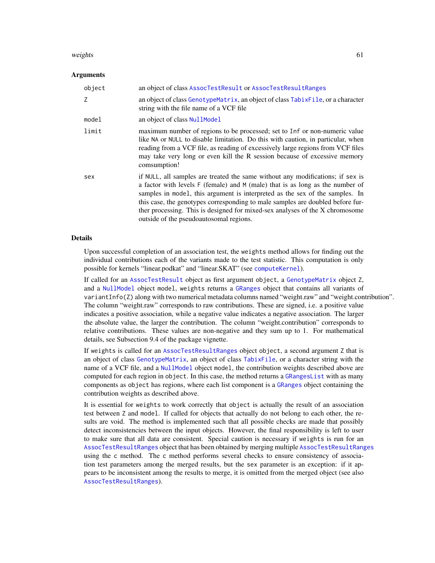#### <span id="page-60-0"></span>weights 61

# Arguments

| object         | an object of class AssocTestResult or AssocTestResultRanges                                                                                                                                                                                                                                                                                                                                                                                                  |
|----------------|--------------------------------------------------------------------------------------------------------------------------------------------------------------------------------------------------------------------------------------------------------------------------------------------------------------------------------------------------------------------------------------------------------------------------------------------------------------|
| $\overline{7}$ | an object of class GenotypeMatrix, an object of class TabixFile, or a character<br>string with the file name of a VCF file                                                                                                                                                                                                                                                                                                                                   |
| model          | an object of class NullModel                                                                                                                                                                                                                                                                                                                                                                                                                                 |
| limit          | maximum number of regions to be processed; set to Inf or non-numeric value<br>like NA or NULL to disable limitation. Do this with caution, in particular, when<br>reading from a VCF file, as reading of excessively large regions from VCF files<br>may take very long or even kill the R session because of excessive memory<br>comsumption!                                                                                                               |
| sex            | if NULL, all samples are treated the same without any modifications; if sex is<br>a factor with levels F (female) and M (male) that is as long as the number of<br>samples in model, this argument is interpreted as the sex of the samples. In<br>this case, the genotypes corresponding to male samples are doubled before fur-<br>ther processing. This is designed for mixed-sex analyses of the X chromosome<br>outside of the pseudoautosomal regions. |

# Details

Upon successful completion of an association test, the weights method allows for finding out the individual contributions each of the variants made to the test statistic. This computation is only possible for kernels "linear.podkat" and "linear.SKAT" (see [computeKernel](#page-13-1)).

If called for an [AssocTestResult](#page-9-1) object as first argument object, a [GenotypeMatrix](#page-17-1) object Z, and a [NullModel](#page-28-1) object model, weights returns a [GRanges](#page-0-0) object that contains all variants of variantInfo(Z) along with two numerical metadata columns named "weight.raw" and "weight.contribution". The column "weight.raw" corresponds to raw contributions. These are signed, i.e. a positive value indicates a positive association, while a negative value indicates a negative association. The larger the absolute value, the larger the contribution. The column "weight.contribution" corresponds to relative contributions. These values are non-negative and they sum up to 1. For mathematical details, see Subsection 9.4 of the package vignette.

If weights is called for an [AssocTestResultRanges](#page-10-1) object object, a second argument Z that is an object of class [GenotypeMatrix](#page-17-1), an object of class [TabixFile](#page-0-0), or a character string with the name of a VCF file, and a [NullModel](#page-28-1) object model, the contribution weights described above are computed for each region in object. In this case, the method returns a [GRangesList](#page-0-0) with as many components as object has regions, where each list component is a [GRanges](#page-0-0) object containing the contribution weights as described above.

It is essential for weights to work correctly that object is actually the result of an association test between Z and model. If called for objects that actually do not belong to each other, the results are void. The method is implemented such that all possible checks are made that possibly detect inconsistencies between the input objects. However, the final responsibility is left to user to make sure that all data are consistent. Special caution is necessary if weights is run for an [AssocTestResultRanges](#page-10-2) object that has been obtained by merging multiple [AssocTestResultRanges](#page-10-1) using the c method. The c method performs several checks to ensure consistency of association test parameters among the merged results, but the sex parameter is an exception: if it appears to be inconsistent among the results to merge, it is omitted from the merged object (see also [AssocTestResultRanges](#page-10-1)).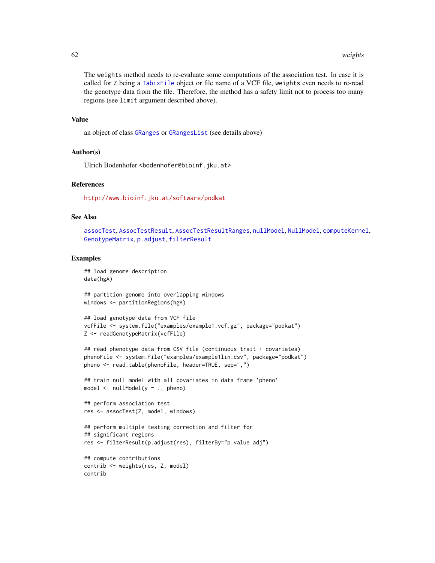The weights method needs to re-evaluate some computations of the association test. In case it is called for Z being a [TabixFile](#page-0-0) object or file name of a VCF file, weights even needs to re-read the genotype data from the file. Therefore, the method has a safety limit not to process too many regions (see limit argument described above).

# Value

an object of class [GRanges](#page-0-0) or [GRangesList](#page-0-0) (see details above)

# Author(s)

Ulrich Bodenhofer <br/>bodenhofer@bioinf.jku.at>

# References

<http://www.bioinf.jku.at/software/podkat>

# See Also

```
assocTest, AssocTestResult, AssocTestResultRanges, nullModel, NullModel, computeKernel,
GenotypeMatrix, p.adjust, filterResult
```
#### Examples

```
## load genome description
data(hgA)
```
## partition genome into overlapping windows windows <- partitionRegions(hgA)

```
## load genotype data from VCF file
vcfFile <- system.file("examples/example1.vcf.gz", package="podkat")
Z <- readGenotypeMatrix(vcfFile)
```

```
## read phenotype data from CSV file (continuous trait + covariates)
phenoFile <- system.file("examples/example1lin.csv", package="podkat")
pheno <- read.table(phenoFile, header=TRUE, sep=",")
```
## train null model with all covariates in data frame 'pheno' model  $\le$  nullModel( $y \sim$ ., pheno)

```
## perform association test
res <- assocTest(Z, model, windows)
```

```
## perform multiple testing correction and filter for
## significant regions
res <- filterResult(p.adjust(res), filterBy="p.value.adj")
```

```
## compute contributions
contrib <- weights(res, Z, model)
contrib
```
<span id="page-61-0"></span>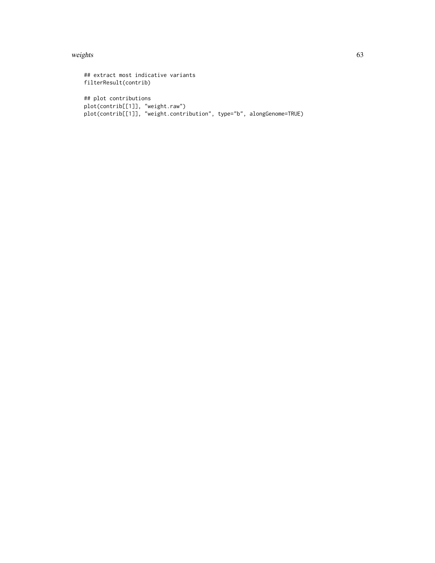#### weights 63

```
## extract most indicative variants
filterResult(contrib)
## plot contributions
plot(contrib[[1]], "weight.raw")
plot(contrib[[1]], "weight.contribution", type="b", alongGenome=TRUE)
```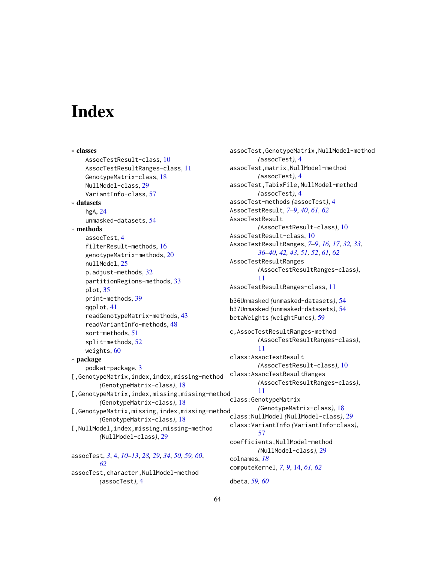# <span id="page-63-0"></span>**Index**

```
∗ classes
    AssocTestResult-class, 10
    AssocTestResultRanges-class, 11
    GenotypeMatrix-class, 18
    NullModel-class, 29
    VariantInfo-class, 57
∗ datasets
    hgA, 24
    unmasked-datasets, 54
∗ methods
    assocTest, 4
    filterResult-methods, 16
    genotypeMatrix-methods, 20
    nullModel, 25
    p.adjust-methods, 32
    partitionRegions-methods, 33
    plot, 35
    print-methods, 39
    qqplot, 41
    readGenotypeMatrix-methods, 43
    readVariantInfo-methods, 48
    sort-methods, 51
    split-methods, 52
    weights, 60
∗ package
    podkat-package, 3
[, GenotypeMatrix, index, index, missing-method
        (GenotypeMatrix-class), 18
[,GenotypeMatrix,index,missing,missing-method
        (GenotypeMatrix-class), 18
[, GenotypeMatrix, missing, index, missing-method
        (GenotypeMatrix-class), 18
[,NullModel,index,missing,missing-method
        (NullModel-class), 29
assocTest, 3, 4, 10–13, 28, 29, 34, 50, 59, 60,
        62
assocTest,character,NullModel-method
```
*(*assocTest*)*, [4](#page-3-0)

assocTest,GenotypeMatrix,NullModel-method *(*assocTest*)*, [4](#page-3-0) assocTest,matrix,NullModel-method *(*assocTest*)*, [4](#page-3-0) assocTest,TabixFile,NullModel-method *(*assocTest*)*, [4](#page-3-0) assocTest-methods *(*assocTest*)*, [4](#page-3-0) AssocTestResult, *[7](#page-6-0)[–9](#page-8-0)*, *[40](#page-39-0)*, *[61,](#page-60-0) [62](#page-61-0)* AssocTestResult *(*AssocTestResult-class*)*, [10](#page-9-0) AssocTestResult-class, [10](#page-9-0) AssocTestResultRanges, *[7](#page-6-0)[–9](#page-8-0)*, *[16,](#page-15-0) [17](#page-16-0)*, *[32,](#page-31-0) [33](#page-32-0)*, *[36](#page-35-0)[–40](#page-39-0)*, *[42,](#page-41-0) [43](#page-42-0)*, *[51,](#page-50-0) [52](#page-51-0)*, *[61,](#page-60-0) [62](#page-61-0)* AssocTestResultRanges *(*AssocTestResultRanges-class*)*, [11](#page-10-0) AssocTestResultRanges-class, [11](#page-10-0) b36Unmasked *(*unmasked-datasets*)*, [54](#page-53-0) b37Unmasked *(*unmasked-datasets*)*, [54](#page-53-0) betaWeights *(*weightFuncs*)*, [59](#page-58-0) c,AssocTestResultRanges-method *(*AssocTestResultRanges-class*)*, [11](#page-10-0) class:AssocTestResult *(*AssocTestResult-class*)*, [10](#page-9-0) class:AssocTestResultRanges *(*AssocTestResultRanges-class*)*, [11](#page-10-0) class:GenotypeMatrix *(*GenotypeMatrix-class*)*, [18](#page-17-0) class:NullModel *(*NullModel-class*)*, [29](#page-28-0) class:VariantInfo *(*VariantInfo-class*)*, [57](#page-56-0) coefficients,NullModel-method *(*NullModel-class*)*, [29](#page-28-0) colnames, *[18](#page-17-0)* computeKernel, *[7](#page-6-0)*, *[9](#page-8-0)*, [14,](#page-13-0) *[61,](#page-60-0) [62](#page-61-0)* dbeta, *[59,](#page-58-0) [60](#page-59-0)*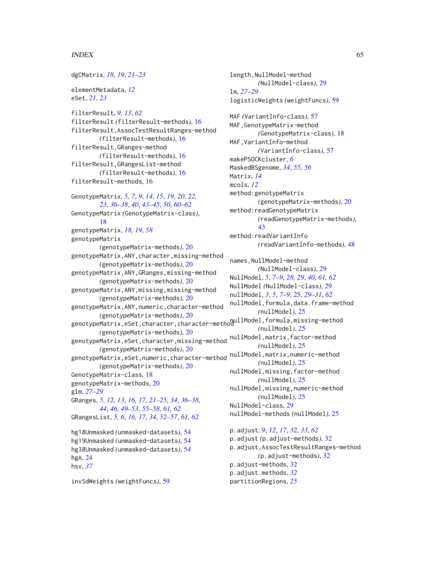# INDEX 65

dgCMatrix, *[18,](#page-17-0) [19](#page-18-0)*, *[21](#page-20-0)[–23](#page-22-0)* elementMetadata, *[12](#page-11-0)* eSet, *[21](#page-20-0)*, *[23](#page-22-0)* filterResult, *[9](#page-8-0)*, *[13](#page-12-0)*, *[62](#page-61-0)* filterResult *(*filterResult-methods*)*, [16](#page-15-0) filterResult,AssocTestResultRanges-method *(*filterResult-methods*)*, [16](#page-15-0) filterResult,GRanges-method *(*filterResult-methods*)*, [16](#page-15-0) filterResult,GRangesList-method *(*filterResult-methods*)*, [16](#page-15-0) filterResult-methods, [16](#page-15-0) GenotypeMatrix, *[5](#page-4-0)*, *[7](#page-6-0)*, *[9](#page-8-0)*, *[14,](#page-13-0) [15](#page-14-0)*, *[19,](#page-18-0) [20](#page-19-0)*, *[22,](#page-21-0) [23](#page-22-0)*, *[36](#page-35-0)[–38](#page-37-0)*, *[40](#page-39-0)*, *[43–](#page-42-0)[45](#page-44-0)*, *[50](#page-49-0)*, *[60–](#page-59-0)[62](#page-61-0)* GenotypeMatrix *(*GenotypeMatrix-class*)*, [18](#page-17-0) genotypeMatrix, *[18,](#page-17-0) [19](#page-18-0)*, *[58](#page-57-0)* genotypeMatrix *(*genotypeMatrix-methods*)*, [20](#page-19-0) genotypeMatrix,ANY,character,missing-method *(*genotypeMatrix-methods*)*, [20](#page-19-0) genotypeMatrix,ANY,GRanges,missing-method *(*genotypeMatrix-methods*)*, [20](#page-19-0) genotypeMatrix,ANY,missing,missing-method *(*genotypeMatrix-methods*)*, [20](#page-19-0) genotypeMatrix,ANY,numeric,character-method *(*genotypeMatrix-methods*)*, [20](#page-19-0) genotypender in methods), 20<br>genotypeMatrix,eSet,character,character-method<br>enotypeMatrix,eSet,character,character-method *(*genotypeMatrix-methods*)*, [20](#page-19-0) genotypeMatrix, eSet, character, missing-method nullModel, matrix, factor-method *(*genotypeMatrix-methods*)*, [20](#page-19-0) genotypeMatrix,eSet,numeric,character-method *(*genotypeMatrix-methods*)*, [20](#page-19-0) GenotypeMatrix-class, [18](#page-17-0) genotypeMatrix-methods, [20](#page-19-0) glm, *[27](#page-26-0)[–29](#page-28-0)* GRanges, *[5](#page-4-0)*, *[12,](#page-11-0) [13](#page-12-0)*, *[16,](#page-15-0) [17](#page-16-0)*, *[21–](#page-20-0)[25](#page-24-0)*, *[34](#page-33-0)*, *[36–](#page-35-0)[38](#page-37-0)*, *[44](#page-43-0)*, *[46](#page-45-0)*, *[49](#page-48-0)[–53](#page-52-0)*, *[55–](#page-54-0)[58](#page-57-0)*, *[61,](#page-60-0) [62](#page-61-0)* GRangesList, *[5,](#page-4-0) [6](#page-5-0)*, *[16,](#page-15-0) [17](#page-16-0)*, *[34](#page-33-0)*, *[52–](#page-51-0)[57](#page-56-0)*, *[61,](#page-60-0) [62](#page-61-0)* hg18Unmasked *(*unmasked-datasets*)*, [54](#page-53-0) hg19Unmasked *(*unmasked-datasets*)*, [54](#page-53-0) hg38Unmasked *(*unmasked-datasets*)*, [54](#page-53-0) hgA, [24](#page-23-0) hsv, *[37](#page-36-0)* p.adjust-methods, [32](#page-31-0) p.adjust.methods, *[32](#page-31-0)*

invSdWeights *(*weightFuncs*)*, [59](#page-58-0)

length, NullModel-method *(*NullModel-class*)*, [29](#page-28-0) lm, *[27–](#page-26-0)[29](#page-28-0)* logisticWeights *(*weightFuncs*)*, [59](#page-58-0) MAF *(*VariantInfo-class*)*, [57](#page-56-0) MAF, GenotypeMatrix-method *(*GenotypeMatrix-class*)*, [18](#page-17-0) MAF,VariantInfo-method *(*VariantInfo-class*)*, [57](#page-56-0) makePSOCKcluster, *[6](#page-5-0)* MaskedBSgenome, *[34](#page-33-0)*, *[55,](#page-54-0) [56](#page-55-0)* Matrix, *[14](#page-13-0)* mcols, *[12](#page-11-0)* method:genotypeMatrix *(*genotypeMatrix-methods*)*, [20](#page-19-0) method:readGenotypeMatrix *(*readGenotypeMatrix-methods*)*, [43](#page-42-0) method:readVariantInfo *(*readVariantInfo-methods*)*, [48](#page-47-0) names,NullModel-method *(*NullModel-class*)*, [29](#page-28-0) NullModel, *[5](#page-4-0)*, *[7](#page-6-0)[–9](#page-8-0)*, *[28,](#page-27-0) [29](#page-28-0)*, *[40](#page-39-0)*, *[61,](#page-60-0) [62](#page-61-0)* NullModel *(*NullModel-class*)*, [29](#page-28-0) nullModel, *[3](#page-2-0)*, *[5](#page-4-0)*, *[7](#page-6-0)[–9](#page-8-0)*, [25,](#page-24-0) *[29](#page-28-0)[–31](#page-30-0)*, *[62](#page-61-0)* nullModel,formula,data.frame-method *(*nullModel*)*, [25](#page-24-0) *(*nullModel*)*, [25](#page-24-0) *(*nullModel*)*, [25](#page-24-0) nullModel,matrix,numeric-method *(*nullModel*)*, [25](#page-24-0) nullModel,missing,factor-method *(*nullModel*)*, [25](#page-24-0) nullModel,missing,numeric-method *(*nullModel*)*, [25](#page-24-0) NullModel-class, [29](#page-28-0) nullModel-methods *(*nullModel*)*, [25](#page-24-0) p.adjust, *[9](#page-8-0)*, *[12](#page-11-0)*, *[17](#page-16-0)*, *[32,](#page-31-0) [33](#page-32-0)*, *[62](#page-61-0)* p.adjust *(*p.adjust-methods*)*, [32](#page-31-0) p.adjust,AssocTestResultRanges-method *(*p.adjust-methods*)*, [32](#page-31-0)

partitionRegions, *[25](#page-24-0)*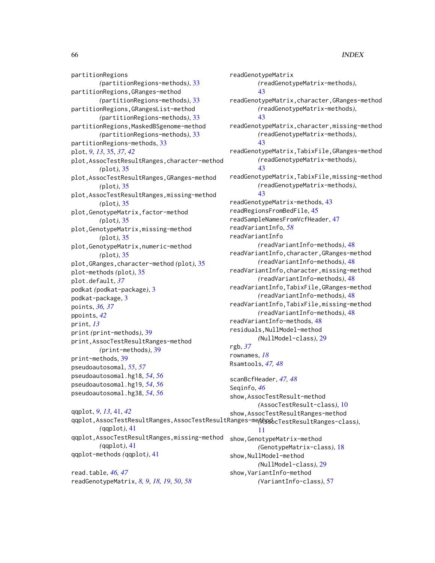partitionRegions *(*partitionRegions-methods*)*, [33](#page-32-0) partitionRegions,GRanges-method *(*partitionRegions-methods*)*, [33](#page-32-0) partitionRegions,GRangesList-method *(*partitionRegions-methods*)*, [33](#page-32-0) partitionRegions,MaskedBSgenome-method *(*partitionRegions-methods*)*, [33](#page-32-0) partitionRegions-methods, [33](#page-32-0) plot, *[9](#page-8-0)*, *[13](#page-12-0)*, [35,](#page-34-0) *[37](#page-36-0)*, *[42](#page-41-0)* plot,AssocTestResultRanges,character-method *(*plot*)*, [35](#page-34-0) plot,AssocTestResultRanges,GRanges-method *(*plot*)*, [35](#page-34-0) plot,AssocTestResultRanges,missing-method *(*plot*)*, [35](#page-34-0) plot,GenotypeMatrix,factor-method *(*plot*)*, [35](#page-34-0) plot,GenotypeMatrix,missing-method *(*plot*)*, [35](#page-34-0) plot,GenotypeMatrix,numeric-method *(*plot*)*, [35](#page-34-0) plot,GRanges,character-method *(*plot*)*, [35](#page-34-0) plot-methods *(*plot*)*, [35](#page-34-0) plot.default, *[37](#page-36-0)* podkat *(*podkat-package*)*, [3](#page-2-0) podkat-package, [3](#page-2-0) points, *[36,](#page-35-0) [37](#page-36-0)* ppoints, *[42](#page-41-0)* print, *[13](#page-12-0)* print *(*print-methods*)*, [39](#page-38-0) print,AssocTestResultRanges-method *(*print-methods*)*, [39](#page-38-0) print-methods, [39](#page-38-0) pseudoautosomal, *[55](#page-54-0)*, *[57](#page-56-0)* pseudoautosomal.hg18, *[54](#page-53-0)*, *[56](#page-55-0)* pseudoautosomal.hg19, *[54](#page-53-0)*, *[56](#page-55-0)* pseudoautosomal.hg38, *[54](#page-53-0)*, *[56](#page-55-0)* qqplot, *[9](#page-8-0)*, *[13](#page-12-0)*, [41,](#page-40-0) *[42](#page-41-0)* qqplot,AssocTestResultRanges,AssocTestResultRanges-method *(*AssocTestResultRanges-class*)*, *(*qqplot*)*, [41](#page-40-0)

qqplot,AssocTestResultRanges,missing-method *(*qqplot*)*, [41](#page-40-0) qqplot-methods *(*qqplot*)*, [41](#page-40-0)

read.table, *[46,](#page-45-0) [47](#page-46-0)* readGenotypeMatrix, *[8,](#page-7-0) [9](#page-8-0)*, *[18,](#page-17-0) [19](#page-18-0)*, *[50](#page-49-0)*, *[58](#page-57-0)*

readGenotypeMatrix *(*readGenotypeMatrix-methods*)*, [43](#page-42-0) readGenotypeMatrix,character,GRanges-method *(*readGenotypeMatrix-methods*)*, [43](#page-42-0) readGenotypeMatrix,character,missing-method *(*readGenotypeMatrix-methods*)*, [43](#page-42-0) readGenotypeMatrix,TabixFile,GRanges-method *(*readGenotypeMatrix-methods*)*, [43](#page-42-0) readGenotypeMatrix,TabixFile,missing-method *(*readGenotypeMatrix-methods*)*, [43](#page-42-0) readGenotypeMatrix-methods, [43](#page-42-0) readRegionsFromBedFile, [45](#page-44-0) readSampleNamesFromVcfHeader, [47](#page-46-0) readVariantInfo, *[58](#page-57-0)* readVariantInfo *(*readVariantInfo-methods*)*, [48](#page-47-0) readVariantInfo,character,GRanges-method *(*readVariantInfo-methods*)*, [48](#page-47-0) readVariantInfo,character,missing-method *(*readVariantInfo-methods*)*, [48](#page-47-0) readVariantInfo,TabixFile,GRanges-method *(*readVariantInfo-methods*)*, [48](#page-47-0) readVariantInfo,TabixFile,missing-method *(*readVariantInfo-methods*)*, [48](#page-47-0) readVariantInfo-methods, [48](#page-47-0) residuals,NullModel-method *(*NullModel-class*)*, [29](#page-28-0) rgb, *[37](#page-36-0)* rownames, *[18](#page-17-0)* Rsamtools, *[47,](#page-46-0) [48](#page-47-0)* scanBcfHeader, *[47,](#page-46-0) [48](#page-47-0)* Seqinfo, *[46](#page-45-0)* show,AssocTestResult-method *(*AssocTestResult-class*)*, [10](#page-9-0) show,AssocTestResultRanges-method [11](#page-10-0)

show,GenotypeMatrix-method *(*GenotypeMatrix-class*)*, [18](#page-17-0) show,NullModel-method *(*NullModel-class*)*, [29](#page-28-0) show,VariantInfo-method *(*VariantInfo-class*)*, [57](#page-56-0)